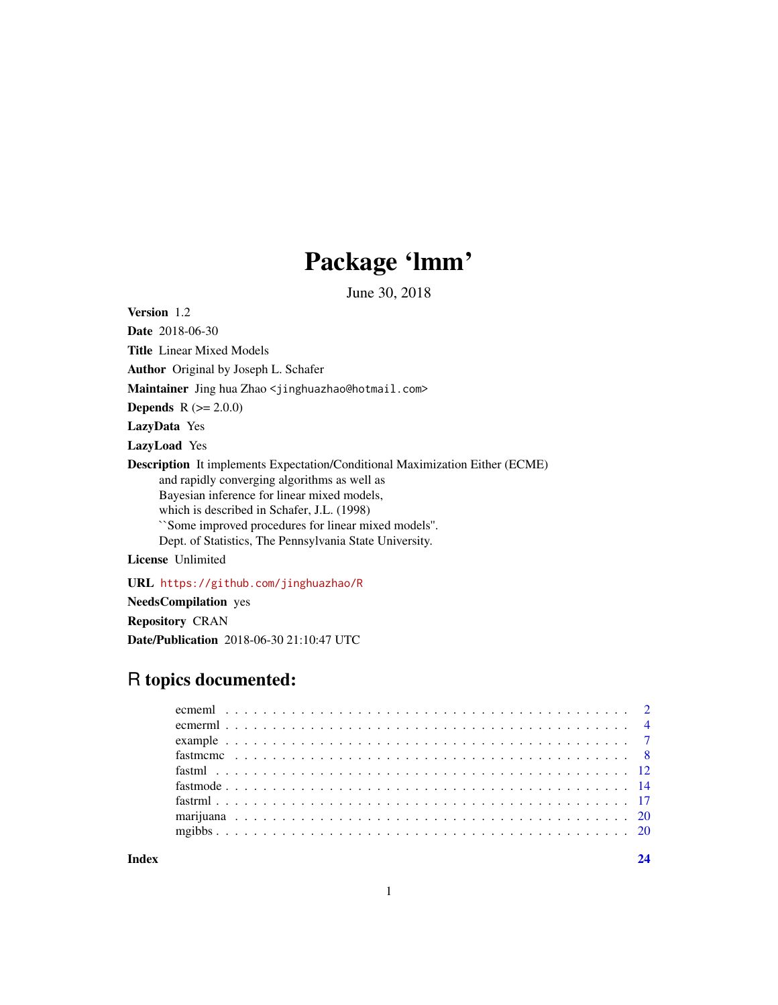# Package 'lmm'

June 30, 2018

Version 1.2

Date 2018-06-30

Title Linear Mixed Models

Author Original by Joseph L. Schafer

Maintainer Jing hua Zhao <jinghuazhao@hotmail.com>

**Depends**  $R (= 2.0.0)$ 

LazyData Yes

LazyLoad Yes

Description It implements Expectation/Conditional Maximization Either (ECME) and rapidly converging algorithms as well as Bayesian inference for linear mixed models, which is described in Schafer, J.L. (1998) ``Some improved procedures for linear mixed models''. Dept. of Statistics, The Pennsylvania State University.

License Unlimited

URL <https://github.com/jinghuazhao/R>

NeedsCompilation yes Repository CRAN Date/Publication 2018-06-30 21:10:47 UTC

# R topics documented:

**Index** [24](#page-23-0)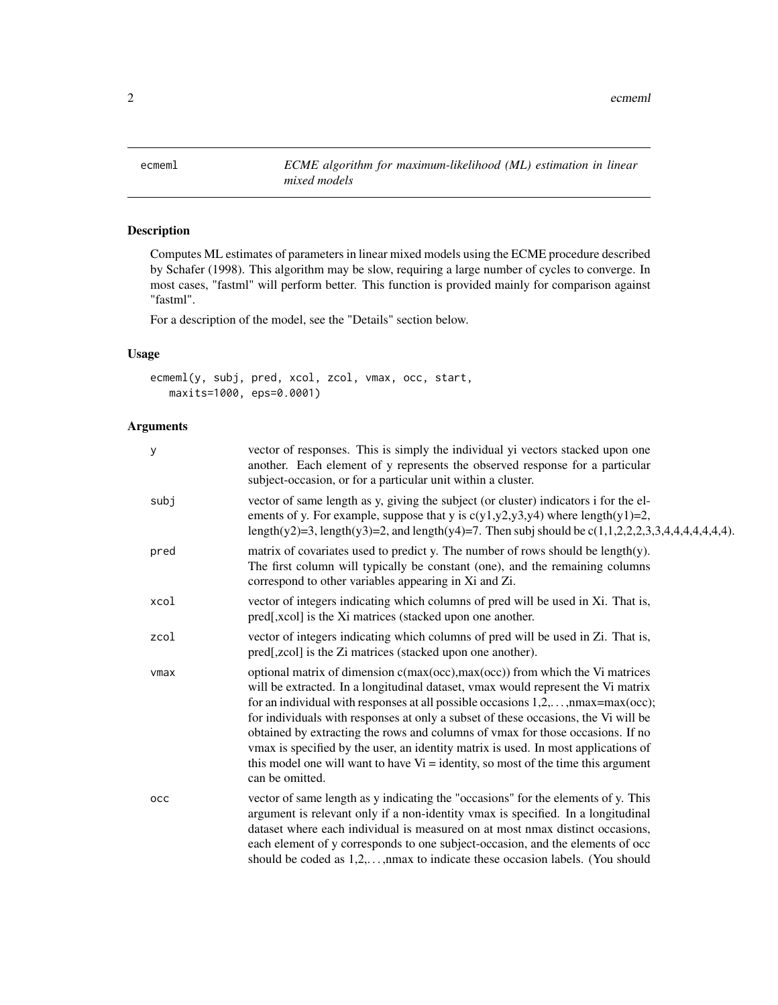<span id="page-1-1"></span><span id="page-1-0"></span>ecmeml *ECME algorithm for maximum-likelihood (ML) estimation in linear mixed models*

# Description

Computes ML estimates of parameters in linear mixed models using the ECME procedure described by Schafer (1998). This algorithm may be slow, requiring a large number of cycles to converge. In most cases, "fastml" will perform better. This function is provided mainly for comparison against "fastml".

For a description of the model, see the "Details" section below.

## Usage

```
ecmeml(y, subj, pred, xcol, zcol, vmax, occ, start,
   maxits=1000, eps=0.0001)
```

| $\mathbf{y}$ | vector of responses. This is simply the individual yi vectors stacked upon one<br>another. Each element of y represents the observed response for a particular<br>subject-occasion, or for a particular unit within a cluster.                                                                                                                                                                                                                                                                                                                                                                                                         |
|--------------|----------------------------------------------------------------------------------------------------------------------------------------------------------------------------------------------------------------------------------------------------------------------------------------------------------------------------------------------------------------------------------------------------------------------------------------------------------------------------------------------------------------------------------------------------------------------------------------------------------------------------------------|
| subj         | vector of same length as y, giving the subject (or cluster) indicators i for the el-<br>ements of y. For example, suppose that y is $c(y1,y2,y3,y4)$ where length $(y1)=2$ ,<br>length(y2)=3, length(y3)=2, and length(y4)=7. Then subj should be $c(1,1,2,2,2,3,3,4,4,4,4,4,4,4)$ .                                                                                                                                                                                                                                                                                                                                                   |
| pred         | matrix of covariates used to predict y. The number of rows should be length(y).<br>The first column will typically be constant (one), and the remaining columns<br>correspond to other variables appearing in Xi and Zi.                                                                                                                                                                                                                                                                                                                                                                                                               |
| xcol         | vector of integers indicating which columns of pred will be used in Xi. That is,<br>pred[,xcol] is the Xi matrices (stacked upon one another.                                                                                                                                                                                                                                                                                                                                                                                                                                                                                          |
| zcol         | vector of integers indicating which columns of pred will be used in Zi. That is,<br>pred[,zcol] is the Zi matrices (stacked upon one another).                                                                                                                                                                                                                                                                                                                                                                                                                                                                                         |
| vmax         | optional matrix of dimension c(max(occ),max(occ)) from which the Vi matrices<br>will be extracted. In a longitudinal dataset, vmax would represent the Vi matrix<br>for an individual with responses at all possible occasions $1, 2, \ldots$ , nmax=max(occ);<br>for individuals with responses at only a subset of these occasions, the Vi will be<br>obtained by extracting the rows and columns of vmax for those occasions. If no<br>vmax is specified by the user, an identity matrix is used. In most applications of<br>this model one will want to have $Vi =$ identity, so most of the time this argument<br>can be omitted. |
| occ          | vector of same length as y indicating the "occasions" for the elements of y. This<br>argument is relevant only if a non-identity vmax is specified. In a longitudinal<br>dataset where each individual is measured on at most nmax distinct occasions,<br>each element of y corresponds to one subject-occasion, and the elements of occ<br>should be coded as 1,2,, max to indicate these occasion labels. (You should                                                                                                                                                                                                                |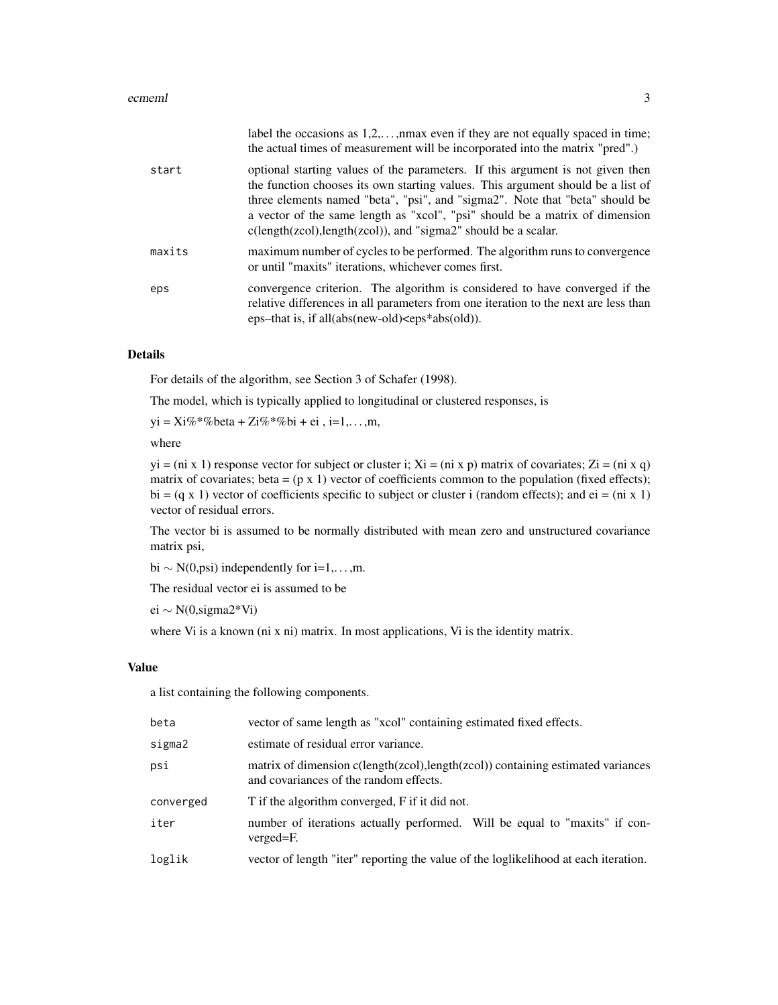|        | label the occasions as $1,2,,$ max even if they are not equally spaced in time;<br>the actual times of measurement will be incorporated into the matrix "pred".)                                                                                                                                                                                                                                       |
|--------|--------------------------------------------------------------------------------------------------------------------------------------------------------------------------------------------------------------------------------------------------------------------------------------------------------------------------------------------------------------------------------------------------------|
| start  | optional starting values of the parameters. If this argument is not given then<br>the function chooses its own starting values. This argument should be a list of<br>three elements named "beta", "psi", and "sigma2". Note that "beta" should be<br>a vector of the same length as "xcol", "psi" should be a matrix of dimension<br>$c(length(zcol), length(zcol)),$ and "sigma2" should be a scalar. |
| maxits | maximum number of cycles to be performed. The algorithm runs to convergence<br>or until "maxits" iterations, whichever comes first.                                                                                                                                                                                                                                                                    |
| eps    | convergence criterion. The algorithm is considered to have converged if the<br>relative differences in all parameters from one iteration to the next are less than<br>eps-that is, if all(abs(new-old) $\lt$ eps*abs(old)).                                                                                                                                                                            |

For details of the algorithm, see Section 3 of Schafer (1998).

The model, which is typically applied to longitudinal or clustered responses, is

 $yi = Xi\% * \% beta + Zi\% * \% bi + ei, i=1,...,m,$ 

where

 $yi = (ni \times 1)$  response vector for subject or cluster i;  $Xi = (ni \times p)$  matrix of covariates;  $Zi = (ni \times q)$ matrix of covariates; beta =  $(p \times 1)$  vector of coefficients common to the population (fixed effects); bi =  $(q \times 1)$  vector of coefficients specific to subject or cluster i (random effects); and ei = (ni x 1) vector of residual errors.

The vector bi is assumed to be normally distributed with mean zero and unstructured covariance matrix psi,

bi  $\sim N(0, \text{psi})$  independently for i=1,...,m.

The residual vector ei is assumed to be

ei ∼ N(0,sigma2\*Vi)

where Vi is a known (ni x ni) matrix. In most applications, Vi is the identity matrix.

#### Value

a list containing the following components.

| vector of same length as "xcol" containing estimated fixed effects.                                                        |
|----------------------------------------------------------------------------------------------------------------------------|
| estimate of residual error variance.                                                                                       |
| matrix of dimension c(length(zcol), length(zcol)) containing estimated variances<br>and covariances of the random effects. |
| T if the algorithm converged, F if it did not.                                                                             |
| number of iterations actually performed. Will be equal to "maxits" if con-<br>verged=F.                                    |
| vector of length "iter" reporting the value of the loglikelihood at each iteration.                                        |
|                                                                                                                            |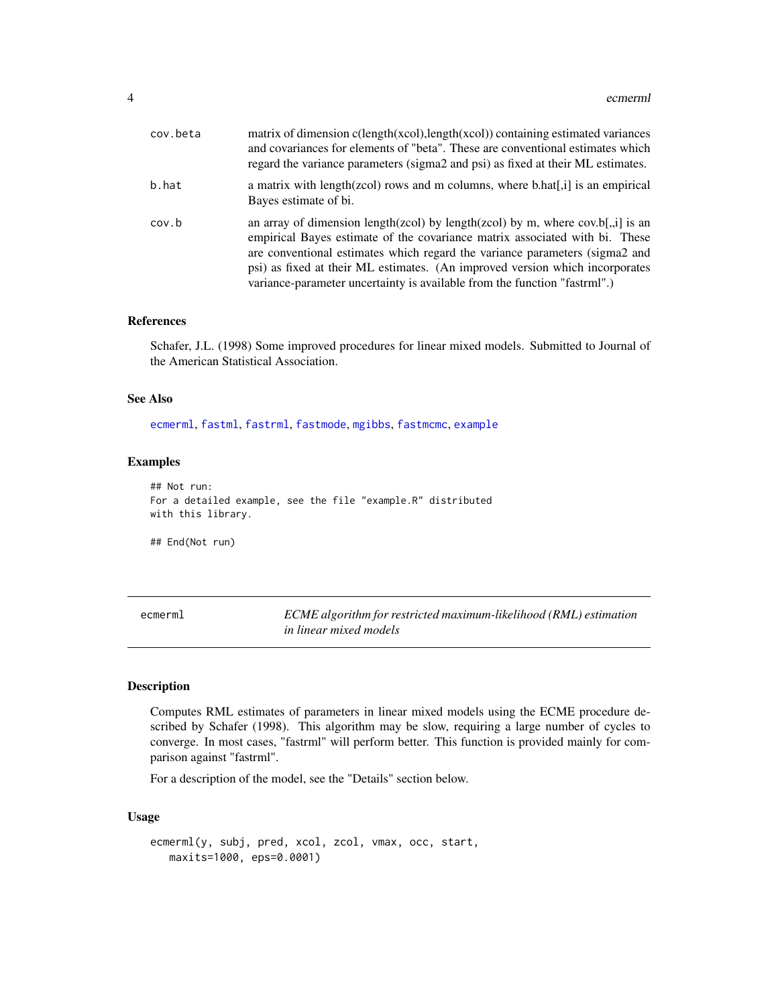<span id="page-3-0"></span>

| cov.beta | matrix of dimension $c(length(xcol), length(xcol))$ containing estimated variances<br>and covariances for elements of "beta". These are conventional estimates which<br>regard the variance parameters (sigma2 and psi) as fixed at their ML estimates.                                                                                                                                                       |
|----------|---------------------------------------------------------------------------------------------------------------------------------------------------------------------------------------------------------------------------------------------------------------------------------------------------------------------------------------------------------------------------------------------------------------|
| b.hat    | a matrix with length(zcol) rows and m columns, where $b.hat[j]$ is an empirical<br>Bayes estimate of bi.                                                                                                                                                                                                                                                                                                      |
| cov.b    | an array of dimension length(zcol) by length(zcol) by m, where $cov.b[$ , i] is an<br>empirical Bayes estimate of the covariance matrix associated with bi. These<br>are conventional estimates which regard the variance parameters (sigma2 and<br>psi) as fixed at their ML estimates. (An improved version which incorporates<br>variance-parameter uncertainty is available from the function "fastrml".) |

#### References

Schafer, J.L. (1998) Some improved procedures for linear mixed models. Submitted to Journal of the American Statistical Association.

#### See Also

[ecmerml](#page-3-1), [fastml](#page-11-1), [fastrml](#page-16-1), [fastmode](#page-13-1), [mgibbs](#page-19-1), [fastmcmc](#page-7-1), [example](#page-6-1)

# Examples

```
## Not run:
For a detailed example, see the file "example.R" distributed
with this library.
```
## End(Not run)

<span id="page-3-1"></span>ecmerml *ECME algorithm for restricted maximum-likelihood (RML) estimation in linear mixed models*

#### Description

Computes RML estimates of parameters in linear mixed models using the ECME procedure described by Schafer (1998). This algorithm may be slow, requiring a large number of cycles to converge. In most cases, "fastrml" will perform better. This function is provided mainly for comparison against "fastrml".

For a description of the model, see the "Details" section below.

#### Usage

```
ecmerml(y, subj, pred, xcol, zcol, vmax, occ, start,
   maxits=1000, eps=0.0001)
```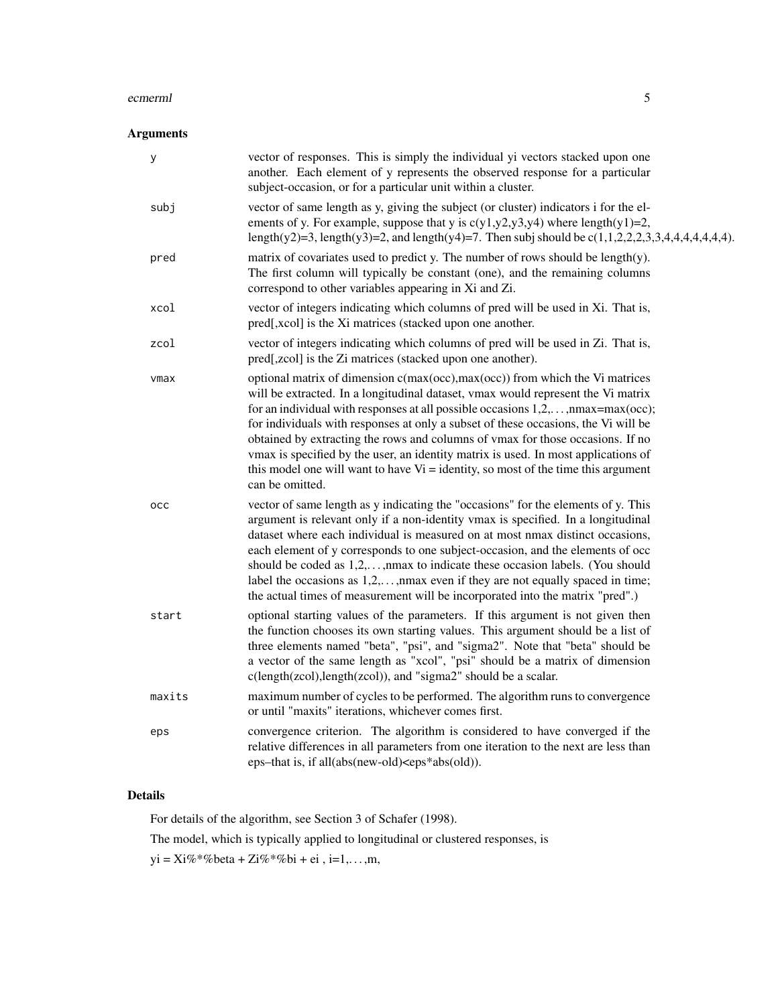#### ecmerml 5

# Arguments

| у      | vector of responses. This is simply the individual yi vectors stacked upon one<br>another. Each element of y represents the observed response for a particular<br>subject-occasion, or for a particular unit within a cluster.                                                                                                                                                                                                                                                                                                                                                                                                                                |
|--------|---------------------------------------------------------------------------------------------------------------------------------------------------------------------------------------------------------------------------------------------------------------------------------------------------------------------------------------------------------------------------------------------------------------------------------------------------------------------------------------------------------------------------------------------------------------------------------------------------------------------------------------------------------------|
| subj   | vector of same length as y, giving the subject (or cluster) indicators i for the el-<br>ements of y. For example, suppose that y is $c(y1,y2,y3,y4)$ where length $(y1)=2$ ,<br>length(y2)=3, length(y3)=2, and length(y4)=7. Then subj should be $c(1,1,2,2,2,3,3,4,4,4,4,4,4,4)$ .                                                                                                                                                                                                                                                                                                                                                                          |
| pred   | matrix of covariates used to predict y. The number of rows should be length(y).<br>The first column will typically be constant (one), and the remaining columns<br>correspond to other variables appearing in Xi and Zi.                                                                                                                                                                                                                                                                                                                                                                                                                                      |
| xcol   | vector of integers indicating which columns of pred will be used in Xi. That is,<br>pred[,xcol] is the Xi matrices (stacked upon one another.                                                                                                                                                                                                                                                                                                                                                                                                                                                                                                                 |
| zcol   | vector of integers indicating which columns of pred will be used in Zi. That is,<br>pred[,zcol] is the Zi matrices (stacked upon one another).                                                                                                                                                                                                                                                                                                                                                                                                                                                                                                                |
| vmax   | optional matrix of dimension c(max(occ), max(occ)) from which the Vi matrices<br>will be extracted. In a longitudinal dataset, vmax would represent the Vi matrix<br>for an individual with responses at all possible occasions $1, 2, \ldots, \text{max} = \text{max}(\text{occ})$ ;<br>for individuals with responses at only a subset of these occasions, the Vi will be<br>obtained by extracting the rows and columns of vmax for those occasions. If no<br>vmax is specified by the user, an identity matrix is used. In most applications of<br>this model one will want to have $Vi =$ identity, so most of the time this argument<br>can be omitted. |
| occ    | vector of same length as y indicating the "occasions" for the elements of y. This<br>argument is relevant only if a non-identity vmax is specified. In a longitudinal<br>dataset where each individual is measured on at most nmax distinct occasions,<br>each element of y corresponds to one subject-occasion, and the elements of occ<br>should be coded as $1,2,,$ max to indicate these occasion labels. (You should<br>label the occasions as $1,2,,$ max even if they are not equally spaced in time;<br>the actual times of measurement will be incorporated into the matrix "pred".)                                                                 |
| start  | optional starting values of the parameters. If this argument is not given then<br>the function chooses its own starting values. This argument should be a list of<br>three elements named "beta", "psi", and "sigma2". Note that "beta" should be<br>a vector of the same length as "xcol", "psi" should be a matrix of dimension<br>$c(length(zcol), length(zcol)),$ and "sigma2" should be a scalar.                                                                                                                                                                                                                                                        |
| maxits | maximum number of cycles to be performed. The algorithm runs to convergence<br>or until "maxits" iterations, whichever comes first.                                                                                                                                                                                                                                                                                                                                                                                                                                                                                                                           |
| eps    | convergence criterion. The algorithm is considered to have converged if the<br>relative differences in all parameters from one iteration to the next are less than<br>eps-that is, if all(abs(new-old) <eps*abs(old)).< td=""></eps*abs(old)).<>                                                                                                                                                                                                                                                                                                                                                                                                              |
|        |                                                                                                                                                                                                                                                                                                                                                                                                                                                                                                                                                                                                                                                               |

# Details

For details of the algorithm, see Section 3 of Schafer (1998).

The model, which is typically applied to longitudinal or clustered responses, is

yi = Xi%\*%beta + Zi%\*%bi + ei , i=1,...,m,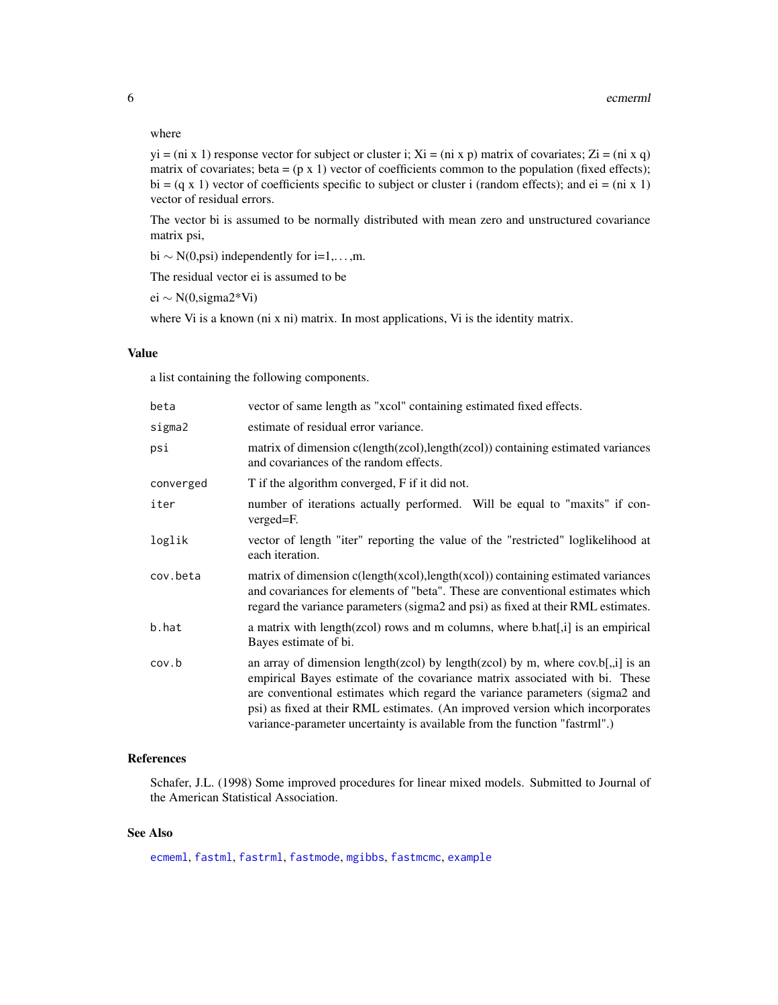#### where

 $yi = (ni \times 1)$  response vector for subject or cluster i;  $Xi = (ni \times p)$  matrix of covariates;  $Zi = (ni \times q)$ matrix of covariates; beta =  $(p \times 1)$  vector of coefficients common to the population (fixed effects); bi =  $(q \times 1)$  vector of coefficients specific to subject or cluster i (random effects); and ei = (ni x 1) vector of residual errors.

The vector bi is assumed to be normally distributed with mean zero and unstructured covariance matrix psi,

bi  $\sim N(0, \text{psi})$  independently for i=1,...,m.

The residual vector ei is assumed to be

ei ∼ N(0,sigma2\*Vi)

where Vi is a known (ni x ni) matrix. In most applications, Vi is the identity matrix.

### Value

a list containing the following components.

| beta      | vector of same length as "xcol" containing estimated fixed effects.                                                                                                                                                                                                                                                                                                                                          |
|-----------|--------------------------------------------------------------------------------------------------------------------------------------------------------------------------------------------------------------------------------------------------------------------------------------------------------------------------------------------------------------------------------------------------------------|
| sigma2    | estimate of residual error variance.                                                                                                                                                                                                                                                                                                                                                                         |
| psi       | matrix of dimension c(length(zcol), length(zcol)) containing estimated variances<br>and covariances of the random effects.                                                                                                                                                                                                                                                                                   |
| converged | T if the algorithm converged, F if it did not.                                                                                                                                                                                                                                                                                                                                                               |
| iter      | number of iterations actually performed. Will be equal to "maxits" if con-<br>verged=F.                                                                                                                                                                                                                                                                                                                      |
| loglik    | vector of length "iter" reporting the value of the "restricted" loglikelihood at<br>each iteration.                                                                                                                                                                                                                                                                                                          |
| cov.beta  | matrix of dimension $c(length(xcol), length(xcol))$ containing estimated variances<br>and covariances for elements of "beta". These are conventional estimates which<br>regard the variance parameters (sigma2 and psi) as fixed at their RML estimates.                                                                                                                                                     |
| b.hat     | a matrix with length(zcol) rows and m columns, where b.hat[,i] is an empirical<br>Bayes estimate of bi.                                                                                                                                                                                                                                                                                                      |
| cov.b     | an array of dimension length(zcol) by length(zcol) by m, where $cov.b[,i]$ is an<br>empirical Bayes estimate of the covariance matrix associated with bi. These<br>are conventional estimates which regard the variance parameters (sigma2 and<br>psi) as fixed at their RML estimates. (An improved version which incorporates<br>variance-parameter uncertainty is available from the function "fastrml".) |

# References

Schafer, J.L. (1998) Some improved procedures for linear mixed models. Submitted to Journal of the American Statistical Association.

# See Also

[ecmeml](#page-1-1), [fastml](#page-11-1), [fastrml](#page-16-1), [fastmode](#page-13-1), [mgibbs](#page-19-1), [fastmcmc](#page-7-1), [example](#page-6-1)

<span id="page-5-0"></span>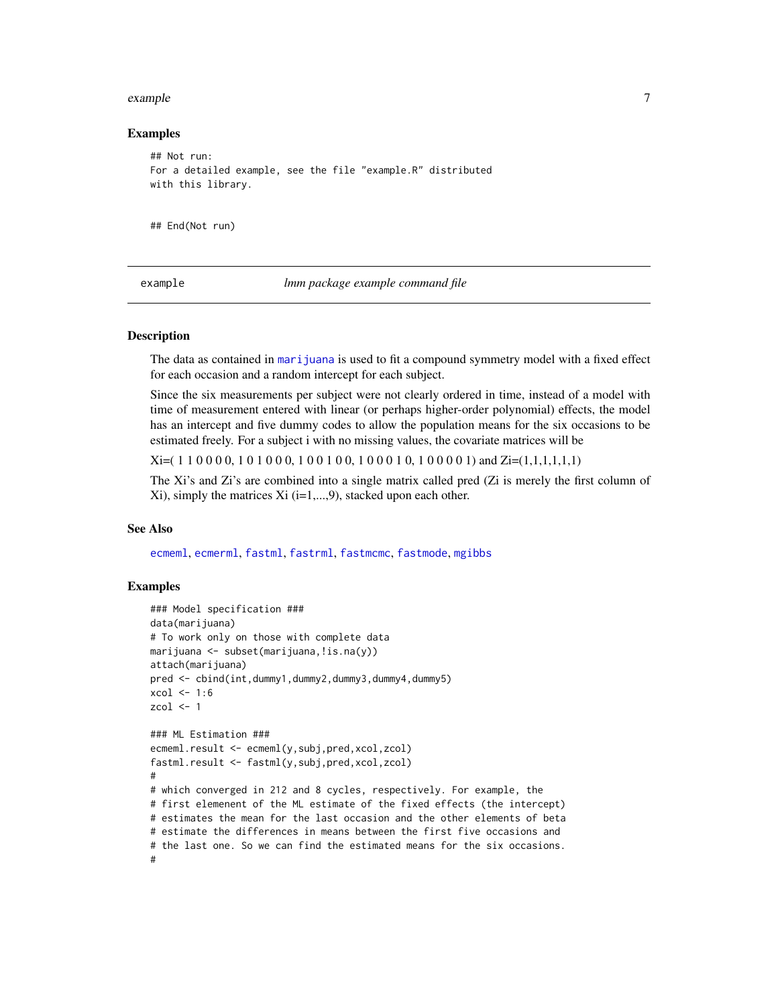#### <span id="page-6-0"></span>example 7 and 2008 and 2008 and 2008 and 2008 and 2008 and 2008 and 2008 and 2008 and 2008 and 2008 and 2008 and 2008 and 2008 and 2008 and 2008 and 2008 and 2008 and 2008 and 2008 and 2008 and 2008 and 2008 and 2008 and 2

#### Examples

```
## Not run:
For a detailed example, see the file "example.R" distributed
with this library.
```
## End(Not run)

<span id="page-6-1"></span>example *lmm package example command file*

#### **Description**

The data as contained in [marijuana](#page-19-2) is used to fit a compound symmetry model with a fixed effect for each occasion and a random intercept for each subject.

Since the six measurements per subject were not clearly ordered in time, instead of a model with time of measurement entered with linear (or perhaps higher-order polynomial) effects, the model has an intercept and five dummy codes to allow the population means for the six occasions to be estimated freely. For a subject i with no missing values, the covariate matrices will be

Xi=( 1 1 0 0 0 0, 1 0 1 0 0 0, 1 0 0 1 0 0, 1 0 0 0 1 0, 1 0 0 0 0 1) and Zi=(1,1,1,1,1,1)

The Xi's and Zi's are combined into a single matrix called pred (Zi is merely the first column of  $X$ i), simply the matrices  $X$ i (i=1,...,9), stacked upon each other.

#### See Also

[ecmeml](#page-1-1), [ecmerml](#page-3-1), [fastml](#page-11-1), [fastrml](#page-16-1), [fastmcmc](#page-7-1), [fastmode](#page-13-1), [mgibbs](#page-19-1)

#### Examples

```
### Model specification ###
data(marijuana)
# To work only on those with complete data
marijuana <- subset(marijuana,!is.na(y))
attach(marijuana)
pred <- cbind(int,dummy1,dummy2,dummy3,dummy4,dummy5)
xcol \leftarrow 1:6zcol <-1### ML Estimation ###
ecmeml.result <- ecmeml(y,subj,pred,xcol,zcol)
fastml.result <- fastml(y,subj,pred,xcol,zcol)
#
# which converged in 212 and 8 cycles, respectively. For example, the
# first elemenent of the ML estimate of the fixed effects (the intercept)
# estimates the mean for the last occasion and the other elements of beta
# estimate the differences in means between the first five occasions and
# the last one. So we can find the estimated means for the six occasions.
#
```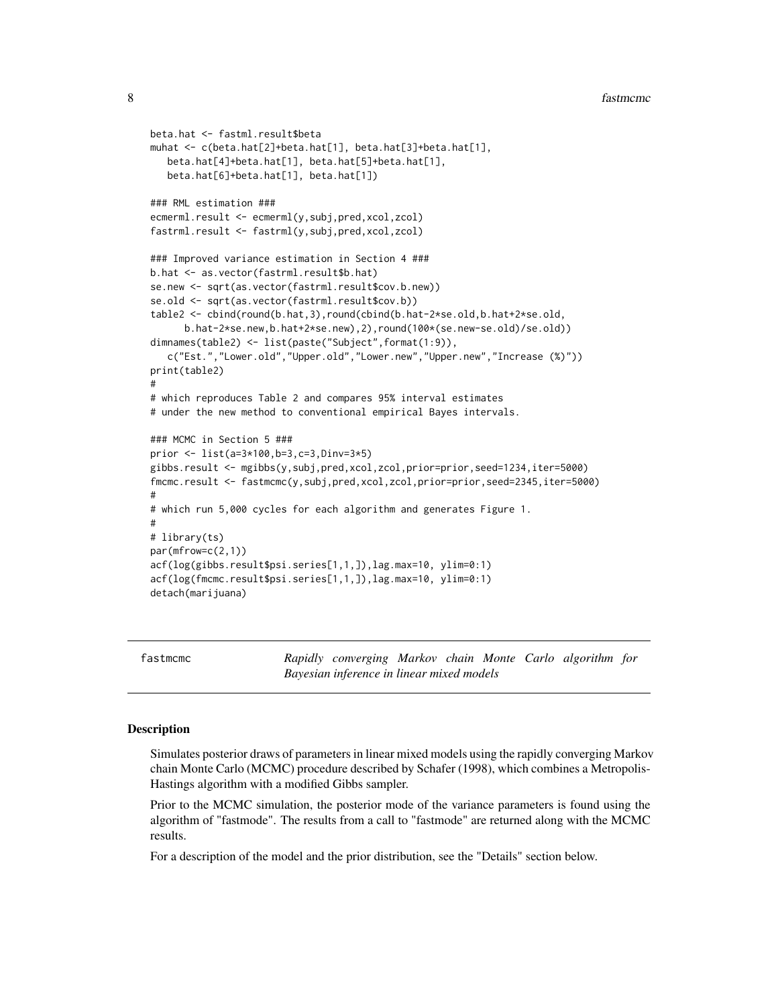```
beta.hat <- fastml.result$beta
muhat <- c(beta.hat[2]+beta.hat[1], beta.hat[3]+beta.hat[1],
  beta.hat[4]+beta.hat[1], beta.hat[5]+beta.hat[1],
  beta.hat[6]+beta.hat[1], beta.hat[1])
### RML estimation ###
ecmerml.result <- ecmerml(y,subj,pred,xcol,zcol)
fastrml.result <- fastrml(y,subj,pred,xcol,zcol)
### Improved variance estimation in Section 4 ###
b.hat <- as.vector(fastrml.result$b.hat)
se.new <- sqrt(as.vector(fastrml.result$cov.b.new))
se.old <- sqrt(as.vector(fastrml.result$cov.b))
table2 <- cbind(round(b.hat,3),round(cbind(b.hat-2*se.old,b.hat+2*se.old,
      b.hat-2*se.new,b.hat+2*se.new),2),round(100*(se.new-se.old)/se.old))
dimnames(table2) <- list(paste("Subject",format(1:9)),
   c("Est.","Lower.old","Upper.old","Lower.new","Upper.new","Increase (%)"))
print(table2)
#
# which reproduces Table 2 and compares 95% interval estimates
# under the new method to conventional empirical Bayes intervals.
### MCMC in Section 5 ###
prior <- list(a=3*100,b=3,c=3,Dinv=3*5)
gibbs.result <- mgibbs(y,subj,pred,xcol,zcol,prior=prior,seed=1234,iter=5000)
fmcmc.result <- fastmcmc(y,subj,pred,xcol,zcol,prior=prior,seed=2345,iter=5000)
#
# which run 5,000 cycles for each algorithm and generates Figure 1.
#
# library(ts)
par(mfrow=c(2,1))
acf(log(gibbs.result$psi.series[1,1,]),lag.max=10, ylim=0:1)
acf(log(fmcmc.result$psi.series[1,1,]),lag.max=10, ylim=0:1)
detach(marijuana)
```
<span id="page-7-1"></span>fastmcmc *Rapidly converging Markov chain Monte Carlo algorithm for Bayesian inference in linear mixed models*

#### **Description**

Simulates posterior draws of parameters in linear mixed models using the rapidly converging Markov chain Monte Carlo (MCMC) procedure described by Schafer (1998), which combines a Metropolis-Hastings algorithm with a modified Gibbs sampler.

Prior to the MCMC simulation, the posterior mode of the variance parameters is found using the algorithm of "fastmode". The results from a call to "fastmode" are returned along with the MCMC results.

For a description of the model and the prior distribution, see the "Details" section below.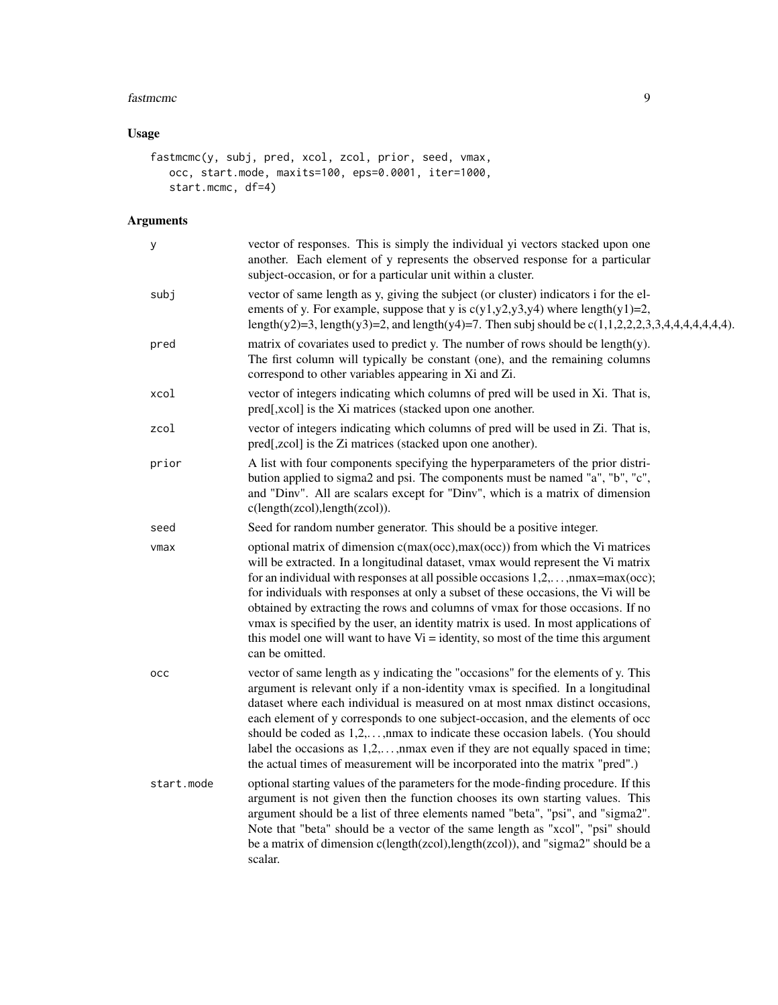#### fastmcmc 9

# Usage

```
fastmcmc(y, subj, pred, xcol, zcol, prior, seed, vmax,
  occ, start.mode, maxits=100, eps=0.0001, iter=1000,
   start.mcmc, df=4)
```

| у          | vector of responses. This is simply the individual yi vectors stacked upon one<br>another. Each element of y represents the observed response for a particular<br>subject-occasion, or for a particular unit within a cluster.                                                                                                                                                                                                                                                                                                                                                                                                         |
|------------|----------------------------------------------------------------------------------------------------------------------------------------------------------------------------------------------------------------------------------------------------------------------------------------------------------------------------------------------------------------------------------------------------------------------------------------------------------------------------------------------------------------------------------------------------------------------------------------------------------------------------------------|
| subj       | vector of same length as y, giving the subject (or cluster) indicators i for the el-<br>ements of y. For example, suppose that y is $c(y1,y2,y3,y4)$ where length $(y1)=2$ ,<br>length(y2)=3, length(y3)=2, and length(y4)=7. Then subj should be $c(1,1,2,2,2,3,3,4,4,4,4,4,4)$ .                                                                                                                                                                                                                                                                                                                                                     |
| pred       | matrix of covariates used to predict y. The number of rows should be length(y).<br>The first column will typically be constant (one), and the remaining columns<br>correspond to other variables appearing in Xi and Zi.                                                                                                                                                                                                                                                                                                                                                                                                               |
| xcol       | vector of integers indicating which columns of pred will be used in Xi. That is,<br>pred[,xcol] is the Xi matrices (stacked upon one another.                                                                                                                                                                                                                                                                                                                                                                                                                                                                                          |
| zcol       | vector of integers indicating which columns of pred will be used in Zi. That is,<br>pred[,zcol] is the Zi matrices (stacked upon one another).                                                                                                                                                                                                                                                                                                                                                                                                                                                                                         |
| prior      | A list with four components specifying the hyperparameters of the prior distri-<br>bution applied to sigma2 and psi. The components must be named "a", "b", "c",<br>and "Dinv". All are scalars except for "Dinv", which is a matrix of dimension<br>c(length(zcol),length(zcol)).                                                                                                                                                                                                                                                                                                                                                     |
| seed       | Seed for random number generator. This should be a positive integer.                                                                                                                                                                                                                                                                                                                                                                                                                                                                                                                                                                   |
| $\nu$ max  | optional matrix of dimension c(max(occ),max(occ)) from which the Vi matrices<br>will be extracted. In a longitudinal dataset, vmax would represent the Vi matrix<br>for an individual with responses at all possible occasions $1, 2, \ldots, n$ max=max(occ);<br>for individuals with responses at only a subset of these occasions, the Vi will be<br>obtained by extracting the rows and columns of vmax for those occasions. If no<br>vmax is specified by the user, an identity matrix is used. In most applications of<br>this model one will want to have $Vi =$ identity, so most of the time this argument<br>can be omitted. |
| occ        | vector of same length as y indicating the "occasions" for the elements of y. This<br>argument is relevant only if a non-identity vmax is specified. In a longitudinal<br>dataset where each individual is measured on at most nmax distinct occasions,<br>each element of y corresponds to one subject-occasion, and the elements of occ<br>should be coded as $1,2,,$ max to indicate these occasion labels. (You should<br>label the occasions as $1, 2, \ldots$ , nmax even if they are not equally spaced in time;<br>the actual times of measurement will be incorporated into the matrix "pred".)                                |
| start.mode | optional starting values of the parameters for the mode-finding procedure. If this<br>argument is not given then the function chooses its own starting values. This<br>argument should be a list of three elements named "beta", "psi", and "sigma2".<br>Note that "beta" should be a vector of the same length as "xcol", "psi" should<br>be a matrix of dimension c(length(zcol), length(zcol)), and "sigma2" should be a<br>scalar.                                                                                                                                                                                                 |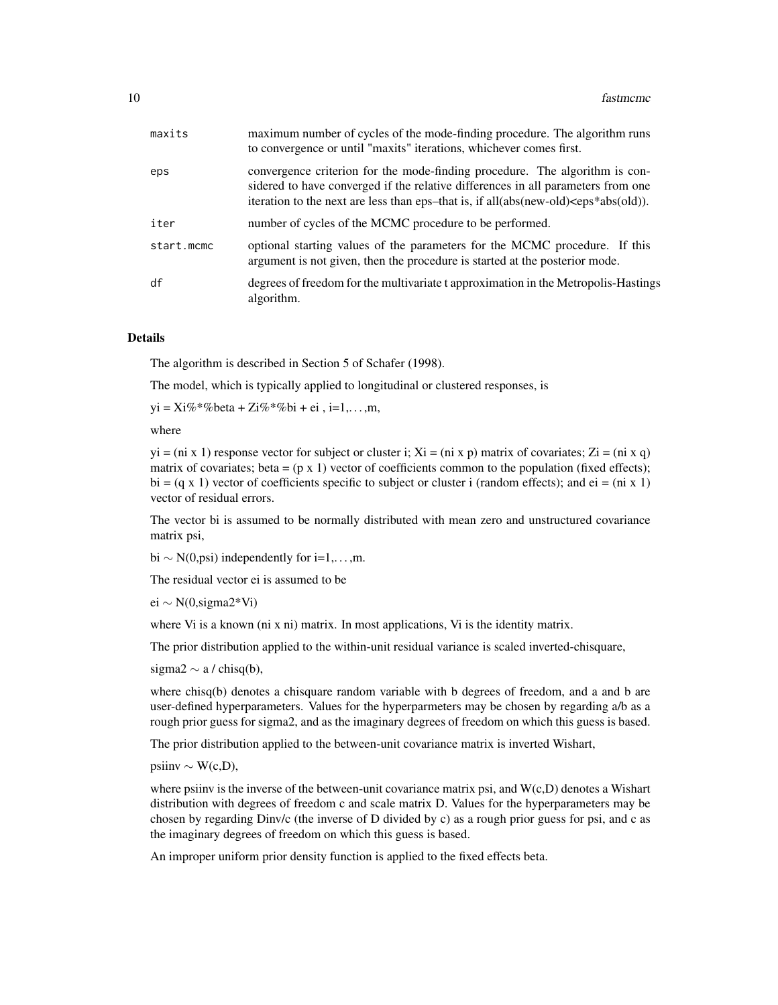| maxits     | maximum number of cycles of the mode-finding procedure. The algorithm runs<br>to convergence or until "maxits" iterations, whichever comes first.                                                                                                                                 |
|------------|-----------------------------------------------------------------------------------------------------------------------------------------------------------------------------------------------------------------------------------------------------------------------------------|
| eps        | convergence criterion for the mode-finding procedure. The algorithm is con-<br>sidered to have converged if the relative differences in all parameters from one<br>iteration to the next are less than eps-that is, if all(abs(new-old) <eps*abs(old)).< td=""></eps*abs(old)).<> |
| iter       | number of cycles of the MCMC procedure to be performed.                                                                                                                                                                                                                           |
| start.mcmc | optional starting values of the parameters for the MCMC procedure. If this<br>argument is not given, then the procedure is started at the posterior mode.                                                                                                                         |
| df         | degrees of freedom for the multivariate t approximation in the Metropolis-Hastings<br>algorithm.                                                                                                                                                                                  |

The algorithm is described in Section 5 of Schafer (1998).

The model, which is typically applied to longitudinal or clustered responses, is

 $yi = Xi\% * \% beta + Zi\% * \% bi + ei, i=1,...,m,$ 

#### where

 $yi = (ni x 1)$  response vector for subject or cluster i;  $Xi = (ni x p)$  matrix of covariates;  $Zi = (ni x q)$ matrix of covariates; beta =  $(p \times 1)$  vector of coefficients common to the population (fixed effects); bi =  $(q \times 1)$  vector of coefficients specific to subject or cluster i (random effects); and ei = (ni x 1) vector of residual errors.

The vector bi is assumed to be normally distributed with mean zero and unstructured covariance matrix psi,

bi  $\sim N(0, \text{psi})$  independently for i=1,...,m.

The residual vector ei is assumed to be

ei ∼ N(0,sigma2\*Vi)

where Vi is a known (ni x ni) matrix. In most applications, Vi is the identity matrix.

The prior distribution applied to the within-unit residual variance is scaled inverted-chisquare,

sigma2  $\sim$  a / chisq(b),

where chisq(b) denotes a chisquare random variable with b degrees of freedom, and a and b are user-defined hyperparameters. Values for the hyperparmeters may be chosen by regarding a/b as a rough prior guess for sigma2, and as the imaginary degrees of freedom on which this guess is based.

The prior distribution applied to the between-unit covariance matrix is inverted Wishart,

 $\text{psi} \sim \text{W}(c, D),$ 

where psiinv is the inverse of the between-unit covariance matrix psi, and  $W(c,D)$  denotes a Wishart distribution with degrees of freedom c and scale matrix D. Values for the hyperparameters may be chosen by regarding Dinv/c (the inverse of D divided by c) as a rough prior guess for psi, and c as the imaginary degrees of freedom on which this guess is based.

An improper uniform prior density function is applied to the fixed effects beta.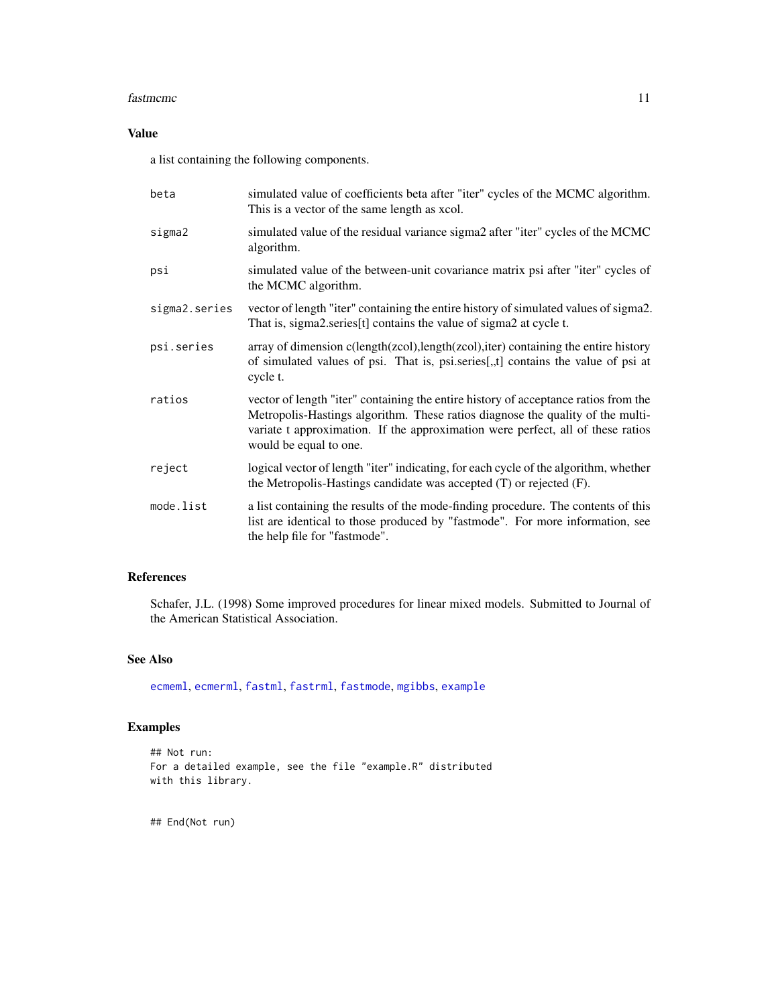#### <span id="page-10-0"></span>fastmcmc 11

# Value

a list containing the following components.

| beta          | simulated value of coefficients beta after "iter" cycles of the MCMC algorithm.<br>This is a vector of the same length as xcol.                                                                                                                                                    |
|---------------|------------------------------------------------------------------------------------------------------------------------------------------------------------------------------------------------------------------------------------------------------------------------------------|
| sigma2        | simulated value of the residual variance sigma2 after "iter" cycles of the MCMC<br>algorithm.                                                                                                                                                                                      |
| psi           | simulated value of the between-unit covariance matrix psi after "iter" cycles of<br>the MCMC algorithm.                                                                                                                                                                            |
| sigma2.series | vector of length "iter" containing the entire history of simulated values of sigma2.<br>That is, sigma2.series[t] contains the value of sigma2 at cycle t.                                                                                                                         |
| psi.series    | array of dimension c(length(zcol),length(zcol),iter) containing the entire history<br>of simulated values of psi. That is, psi.series[,,t] contains the value of psi at<br>cycle t.                                                                                                |
| ratios        | vector of length "iter" containing the entire history of acceptance ratios from the<br>Metropolis-Hastings algorithm. These ratios diagnose the quality of the multi-<br>variate t approximation. If the approximation were perfect, all of these ratios<br>would be equal to one. |
| reject        | logical vector of length "iter" indicating, for each cycle of the algorithm, whether<br>the Metropolis-Hastings candidate was accepted (T) or rejected (F).                                                                                                                        |
| mode.list     | a list containing the results of the mode-finding procedure. The contents of this<br>list are identical to those produced by "fastmode". For more information, see<br>the help file for "fastmode".                                                                                |

# References

Schafer, J.L. (1998) Some improved procedures for linear mixed models. Submitted to Journal of the American Statistical Association.

#### See Also

[ecmeml](#page-1-1), [ecmerml](#page-3-1), [fastml](#page-11-1), [fastrml](#page-16-1), [fastmode](#page-13-1), [mgibbs](#page-19-1), [example](#page-6-1)

# Examples

```
## Not run:
For a detailed example, see the file "example.R" distributed
with this library.
```
## End(Not run)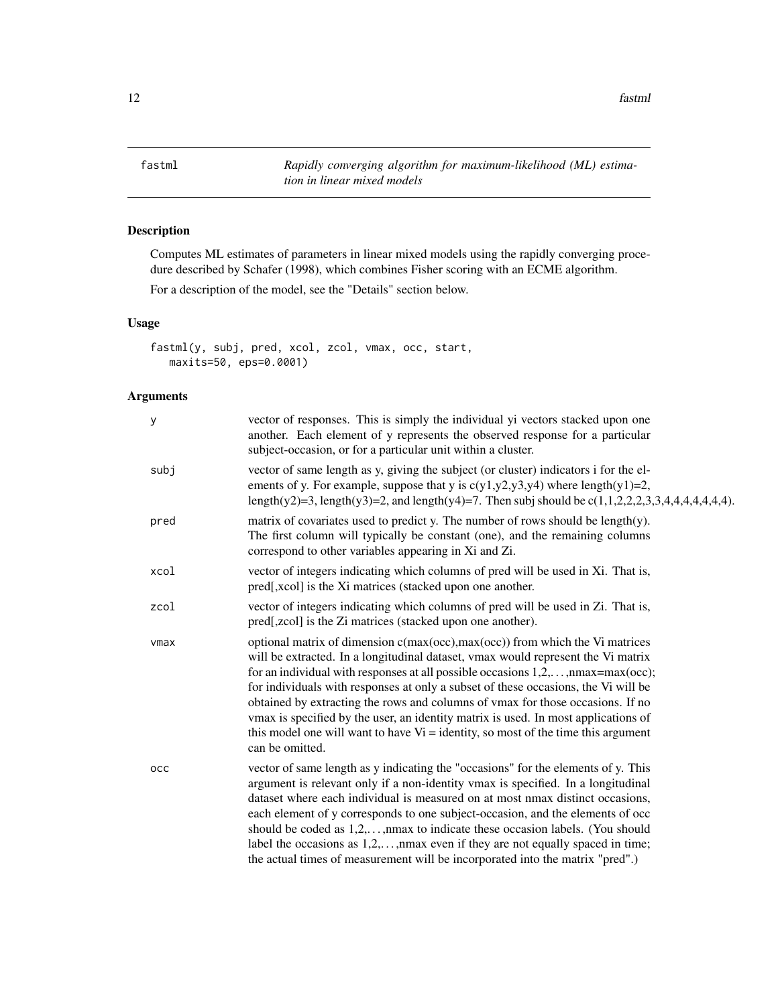<span id="page-11-0"></span>12 fastml

<span id="page-11-1"></span>fastml *Rapidly converging algorithm for maximum-likelihood (ML) estimation in linear mixed models*

# Description

Computes ML estimates of parameters in linear mixed models using the rapidly converging procedure described by Schafer (1998), which combines Fisher scoring with an ECME algorithm.

For a description of the model, see the "Details" section below.

#### Usage

```
fastml(y, subj, pred, xcol, zcol, vmax, occ, start,
  maxits=50, eps=0.0001)
```

| y    | vector of responses. This is simply the individual yi vectors stacked upon one<br>another. Each element of y represents the observed response for a particular<br>subject-occasion, or for a particular unit within a cluster.                                                                                                                                                                                                                                                                                                                                                                                                          |
|------|-----------------------------------------------------------------------------------------------------------------------------------------------------------------------------------------------------------------------------------------------------------------------------------------------------------------------------------------------------------------------------------------------------------------------------------------------------------------------------------------------------------------------------------------------------------------------------------------------------------------------------------------|
| subj | vector of same length as y, giving the subject (or cluster) indicators i for the el-<br>ements of y. For example, suppose that y is $c(y1,y2,y3,y4)$ where length $(y1)=2$ ,<br>length(y2)=3, length(y3)=2, and length(y4)=7. Then subj should be $c(1,1,2,2,2,3,3,4,4,4,4,4,4)$ .                                                                                                                                                                                                                                                                                                                                                      |
| pred | matrix of covariates used to predict y. The number of rows should be length(y).<br>The first column will typically be constant (one), and the remaining columns<br>correspond to other variables appearing in Xi and Zi.                                                                                                                                                                                                                                                                                                                                                                                                                |
| xcol | vector of integers indicating which columns of pred will be used in Xi. That is,<br>pred[,xcol] is the Xi matrices (stacked upon one another.                                                                                                                                                                                                                                                                                                                                                                                                                                                                                           |
| zcol | vector of integers indicating which columns of pred will be used in Zi. That is,<br>pred[,zcol] is the Zi matrices (stacked upon one another).                                                                                                                                                                                                                                                                                                                                                                                                                                                                                          |
| vmax | optional matrix of dimension c(max(occ), max(occ)) from which the Vi matrices<br>will be extracted. In a longitudinal dataset, vmax would represent the Vi matrix<br>for an individual with responses at all possible occasions $1, 2, \ldots, n$ max=max(occ);<br>for individuals with responses at only a subset of these occasions, the Vi will be<br>obtained by extracting the rows and columns of vmax for those occasions. If no<br>vmax is specified by the user, an identity matrix is used. In most applications of<br>this model one will want to have $Vi =$ identity, so most of the time this argument<br>can be omitted. |
| occ  | vector of same length as y indicating the "occasions" for the elements of y. This<br>argument is relevant only if a non-identity vmax is specified. In a longitudinal<br>dataset where each individual is measured on at most nmax distinct occasions,<br>each element of y corresponds to one subject-occasion, and the elements of occ<br>should be coded as $1,2,,$ max to indicate these occasion labels. (You should<br>label the occasions as $1,2,,$ max even if they are not equally spaced in time;<br>the actual times of measurement will be incorporated into the matrix "pred".)                                           |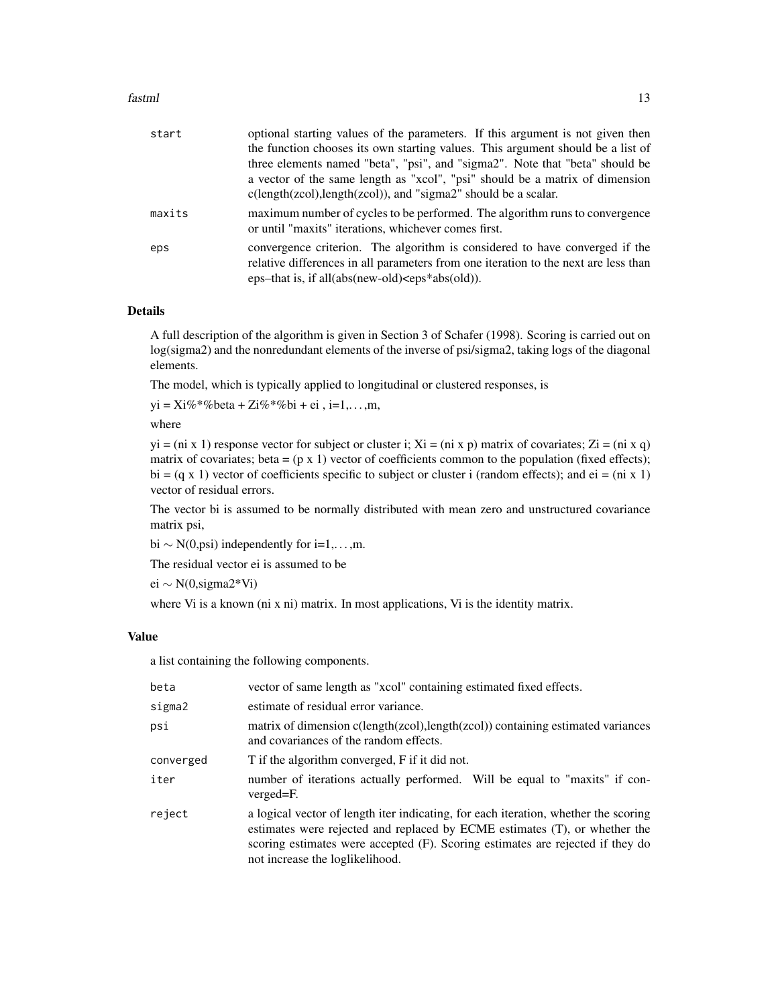#### fastml and the state of the state of the state of the state of the state of the state of the state of the state of the state of the state of the state of the state of the state of the state of the state of the state of the

| start  | optional starting values of the parameters. If this argument is not given then                                                                                                                                               |
|--------|------------------------------------------------------------------------------------------------------------------------------------------------------------------------------------------------------------------------------|
|        | the function chooses its own starting values. This argument should be a list of                                                                                                                                              |
|        | three elements named "beta", "psi", and "sigma2". Note that "beta" should be                                                                                                                                                 |
|        | a vector of the same length as "xcol", "psi" should be a matrix of dimension<br>$c(length(zcol), length(zcol)),$ and "sigma2" should be a scalar.                                                                            |
| maxits | maximum number of cycles to be performed. The algorithm runs to convergence<br>or until "maxits" iterations, whichever comes first.                                                                                          |
| eps    | convergence criterion. The algorithm is considered to have converged if the<br>relative differences in all parameters from one iteration to the next are less than<br>$eps$ -that is, if all(abs(new-old) $<$ eps*abs(old)). |

#### Details

A full description of the algorithm is given in Section 3 of Schafer (1998). Scoring is carried out on log(sigma2) and the nonredundant elements of the inverse of psi/sigma2, taking logs of the diagonal elements.

The model, which is typically applied to longitudinal or clustered responses, is

 $yi = Xi\% * \% beta + Zi\% * \% bi + ei, i=1,...,m,$ 

where

 $yi = (ni \times 1)$  response vector for subject or cluster i;  $Xi = (ni \times p)$  matrix of covariates;  $Zi = (ni \times q)$ matrix of covariates; beta =  $(p \times 1)$  vector of coefficients common to the population (fixed effects); bi =  $(q \times 1)$  vector of coefficients specific to subject or cluster i (random effects); and ei =  $(n \times 1)$ vector of residual errors.

The vector bi is assumed to be normally distributed with mean zero and unstructured covariance matrix psi,

bi  $\sim N(0, \text{psi})$  independently for i=1,...,m.

The residual vector ei is assumed to be

ei ∼ N(0,sigma2\*Vi)

where Vi is a known (ni x ni) matrix. In most applications, Vi is the identity matrix.

#### Value

a list containing the following components.

| beta      | vector of same length as "xcol" containing estimated fixed effects.                                                                                                                                                                                                                    |
|-----------|----------------------------------------------------------------------------------------------------------------------------------------------------------------------------------------------------------------------------------------------------------------------------------------|
| sigma2    | estimate of residual error variance.                                                                                                                                                                                                                                                   |
| psi       | matrix of dimension c(length(zcol), length(zcol)) containing estimated variances<br>and covariances of the random effects.                                                                                                                                                             |
| converged | T if the algorithm converged, F if it did not.                                                                                                                                                                                                                                         |
| iter      | number of iterations actually performed. Will be equal to "maxits" if con-<br>verged=F.                                                                                                                                                                                                |
| reject    | a logical vector of length iter indicating, for each iteration, whether the scoring<br>estimates were rejected and replaced by ECME estimates (T), or whether the<br>scoring estimates were accepted (F). Scoring estimates are rejected if they do<br>not increase the loglikelihood. |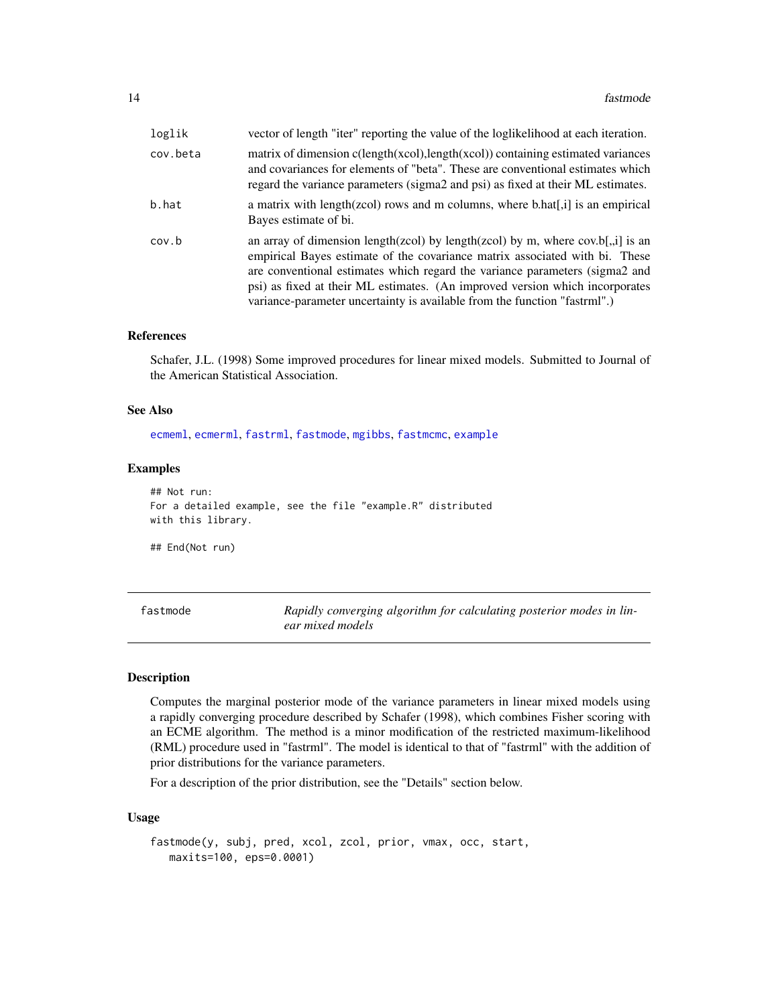<span id="page-13-0"></span>

| loglik   | vector of length "iter" reporting the value of the loglikelihood at each iteration.                                                                                                                                                                                                                                                                                                                           |
|----------|---------------------------------------------------------------------------------------------------------------------------------------------------------------------------------------------------------------------------------------------------------------------------------------------------------------------------------------------------------------------------------------------------------------|
| cov.beta | matrix of dimension $c(length(xcol), length(xcol))$ containing estimated variances<br>and covariances for elements of "beta". These are conventional estimates which<br>regard the variance parameters (sigma2 and psi) as fixed at their ML estimates.                                                                                                                                                       |
| b.hat    | a matrix with length(zcol) rows and m columns, where b.hat[,i] is an empirical<br>Bayes estimate of bi.                                                                                                                                                                                                                                                                                                       |
| cov.b    | an array of dimension length(zcol) by length(zcol) by m, where $cov.b[$ , il is an<br>empirical Bayes estimate of the covariance matrix associated with bi. These<br>are conventional estimates which regard the variance parameters (sigma2 and<br>psi) as fixed at their ML estimates. (An improved version which incorporates<br>variance-parameter uncertainty is available from the function "fastrml".) |

### References

Schafer, J.L. (1998) Some improved procedures for linear mixed models. Submitted to Journal of the American Statistical Association.

#### See Also

[ecmeml](#page-1-1), [ecmerml](#page-3-1), [fastrml](#page-16-1), [fastmode](#page-13-1), [mgibbs](#page-19-1), [fastmcmc](#page-7-1), [example](#page-6-1)

#### Examples

## Not run: For a detailed example, see the file "example.R" distributed with this library.

## End(Not run)

<span id="page-13-1"></span>

| fastmode | Rapidly converging algorithm for calculating posterior modes in lin- |
|----------|----------------------------------------------------------------------|
|          | ear mixed models                                                     |

#### Description

Computes the marginal posterior mode of the variance parameters in linear mixed models using a rapidly converging procedure described by Schafer (1998), which combines Fisher scoring with an ECME algorithm. The method is a minor modification of the restricted maximum-likelihood (RML) procedure used in "fastrml". The model is identical to that of "fastrml" with the addition of prior distributions for the variance parameters.

For a description of the prior distribution, see the "Details" section below.

#### Usage

```
fastmode(y, subj, pred, xcol, zcol, prior, vmax, occ, start,
   maxits=100, eps=0.0001)
```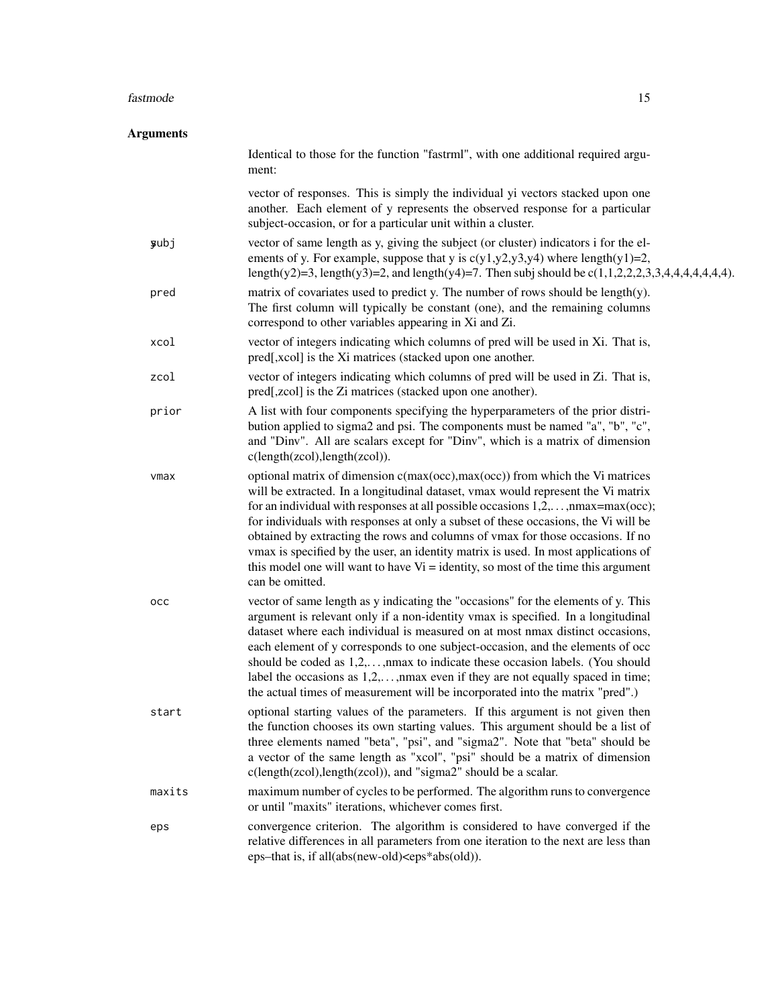#### fastmode that the set of the set of the set of the set of the set of the set of the set of the set of the set of the set of the set of the set of the set of the set of the set of the set of the set of the set of the set of

| <b>Arguments</b> |                                                                                                                                                                                                                                                                                                                                                                                                                                                                                                                                                                                                                                                              |
|------------------|--------------------------------------------------------------------------------------------------------------------------------------------------------------------------------------------------------------------------------------------------------------------------------------------------------------------------------------------------------------------------------------------------------------------------------------------------------------------------------------------------------------------------------------------------------------------------------------------------------------------------------------------------------------|
|                  | Identical to those for the function "fastrml", with one additional required argu-<br>ment:                                                                                                                                                                                                                                                                                                                                                                                                                                                                                                                                                                   |
|                  | vector of responses. This is simply the individual yi vectors stacked upon one<br>another. Each element of y represents the observed response for a particular<br>subject-occasion, or for a particular unit within a cluster.                                                                                                                                                                                                                                                                                                                                                                                                                               |
| <b>y</b> ubj     | vector of same length as y, giving the subject (or cluster) indicators i for the el-<br>ements of y. For example, suppose that y is $c(y1,y2,y3,y4)$ where length $(y1)=2$ ,<br>length(y2)=3, length(y3)=2, and length(y4)=7. Then subj should be $c(1,1,2,2,2,3,3,4,4,4,4,4,4,4)$ .                                                                                                                                                                                                                                                                                                                                                                         |
| pred             | matrix of covariates used to predict y. The number of rows should be length(y).<br>The first column will typically be constant (one), and the remaining columns<br>correspond to other variables appearing in Xi and Zi.                                                                                                                                                                                                                                                                                                                                                                                                                                     |
| xcol             | vector of integers indicating which columns of pred will be used in Xi. That is,<br>pred[,xcol] is the Xi matrices (stacked upon one another.                                                                                                                                                                                                                                                                                                                                                                                                                                                                                                                |
| zcol             | vector of integers indicating which columns of pred will be used in Zi. That is,<br>pred[,zcol] is the Zi matrices (stacked upon one another).                                                                                                                                                                                                                                                                                                                                                                                                                                                                                                               |
| prior            | A list with four components specifying the hyperparameters of the prior distri-<br>bution applied to sigma2 and psi. The components must be named "a", "b", "c",<br>and "Dinv". All are scalars except for "Dinv", which is a matrix of dimension<br>c(length(zcol),length(zcol)).                                                                                                                                                                                                                                                                                                                                                                           |
| vmax             | optional matrix of dimension c(max(occ),max(occ)) from which the Vi matrices<br>will be extracted. In a longitudinal dataset, vmax would represent the Vi matrix<br>for an individual with responses at all possible occasions $1, 2, \ldots, \text{max} = \text{max}(\text{occ})$ ;<br>for individuals with responses at only a subset of these occasions, the Vi will be<br>obtained by extracting the rows and columns of vmax for those occasions. If no<br>vmax is specified by the user, an identity matrix is used. In most applications of<br>this model one will want to have $Vi =$ identity, so most of the time this argument<br>can be omitted. |
| occ              | vector of same length as y indicating the "occasions" for the elements of y. This<br>argument is relevant only if a non-identity vmax is specified. In a longitudinal<br>dataset where each individual is measured on at most nmax distinct occasions,<br>each element of y corresponds to one subject-occasion, and the elements of occ<br>should be coded as $1,2,,$ max to indicate these occasion labels. (You should<br>label the occasions as $1,2,,$ max even if they are not equally spaced in time;<br>the actual times of measurement will be incorporated into the matrix "pred".)                                                                |
| start            | optional starting values of the parameters. If this argument is not given then<br>the function chooses its own starting values. This argument should be a list of<br>three elements named "beta", "psi", and "sigma2". Note that "beta" should be<br>a vector of the same length as "xcol", "psi" should be a matrix of dimension<br>c(length(zcol), length(zcol)), and "sigma2" should be a scalar.                                                                                                                                                                                                                                                         |
| maxits           | maximum number of cycles to be performed. The algorithm runs to convergence<br>or until "maxits" iterations, whichever comes first.                                                                                                                                                                                                                                                                                                                                                                                                                                                                                                                          |
| eps              | convergence criterion. The algorithm is considered to have converged if the<br>relative differences in all parameters from one iteration to the next are less than<br>eps-that is, if all(abs(new-old) <eps*abs(old)).< td=""></eps*abs(old)).<>                                                                                                                                                                                                                                                                                                                                                                                                             |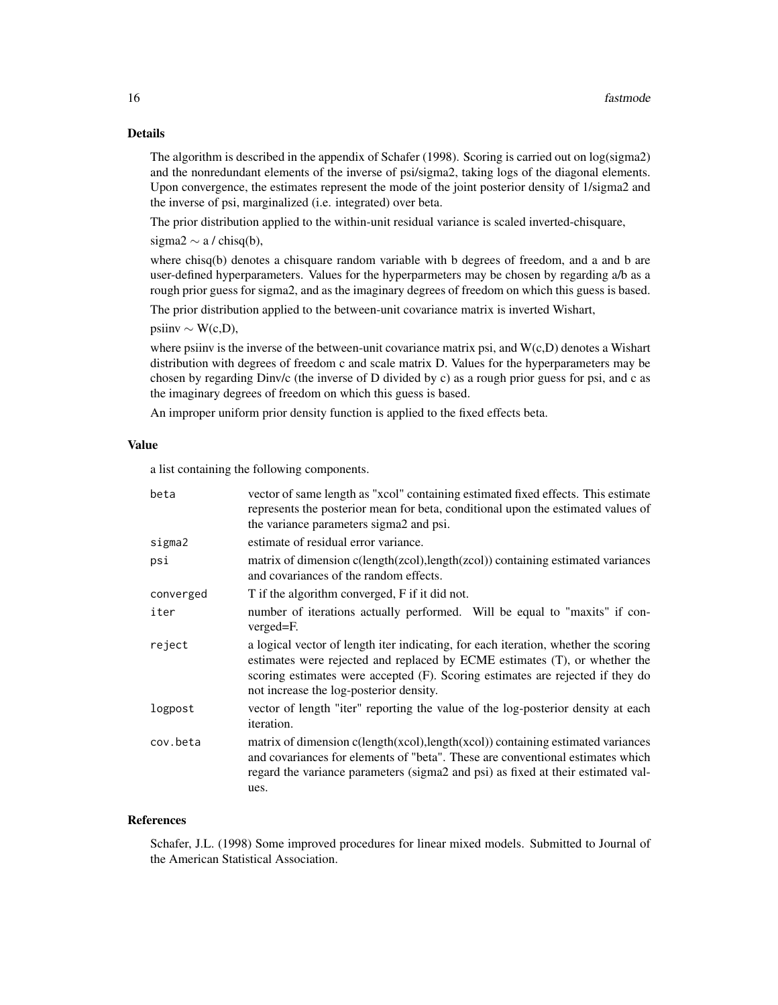The algorithm is described in the appendix of Schafer (1998). Scoring is carried out on log(sigma2) and the nonredundant elements of the inverse of psi/sigma2, taking logs of the diagonal elements. Upon convergence, the estimates represent the mode of the joint posterior density of 1/sigma2 and the inverse of psi, marginalized (i.e. integrated) over beta.

The prior distribution applied to the within-unit residual variance is scaled inverted-chisquare,

sigma2  $\sim$  a / chisq(b),

where chisq(b) denotes a chisquare random variable with b degrees of freedom, and a and b are user-defined hyperparameters. Values for the hyperparmeters may be chosen by regarding a/b as a rough prior guess for sigma2, and as the imaginary degrees of freedom on which this guess is based.

The prior distribution applied to the between-unit covariance matrix is inverted Wishart,

 $\text{psi} \sim W(c,D),$ 

where psiinv is the inverse of the between-unit covariance matrix psi, and  $W(c,D)$  denotes a Wishart distribution with degrees of freedom c and scale matrix D. Values for the hyperparameters may be chosen by regarding Dinv/c (the inverse of D divided by c) as a rough prior guess for psi, and c as the imaginary degrees of freedom on which this guess is based.

An improper uniform prior density function is applied to the fixed effects beta.

#### Value

a list containing the following components.

| beta      | vector of same length as "xcol" containing estimated fixed effects. This estimate<br>represents the posterior mean for beta, conditional upon the estimated values of<br>the variance parameters sigma2 and psi.                                                                               |
|-----------|------------------------------------------------------------------------------------------------------------------------------------------------------------------------------------------------------------------------------------------------------------------------------------------------|
| sigma2    | estimate of residual error variance.                                                                                                                                                                                                                                                           |
| psi       | matrix of dimension c(length(zcol), length(zcol)) containing estimated variances<br>and covariances of the random effects.                                                                                                                                                                     |
| converged | T if the algorithm converged, F if it did not.                                                                                                                                                                                                                                                 |
| iter      | number of iterations actually performed. Will be equal to "maxits" if con-<br>verged=F.                                                                                                                                                                                                        |
| reject    | a logical vector of length iter indicating, for each iteration, whether the scoring<br>estimates were rejected and replaced by ECME estimates (T), or whether the<br>scoring estimates were accepted (F). Scoring estimates are rejected if they do<br>not increase the log-posterior density. |
| logpost   | vector of length "iter" reporting the value of the log-posterior density at each<br><i>iteration.</i>                                                                                                                                                                                          |
| cov.beta  | matrix of dimension c(length(xcol), length(xcol)) containing estimated variances<br>and covariances for elements of "beta". These are conventional estimates which<br>regard the variance parameters (sigma2 and psi) as fixed at their estimated val-<br>ues.                                 |

#### References

Schafer, J.L. (1998) Some improved procedures for linear mixed models. Submitted to Journal of the American Statistical Association.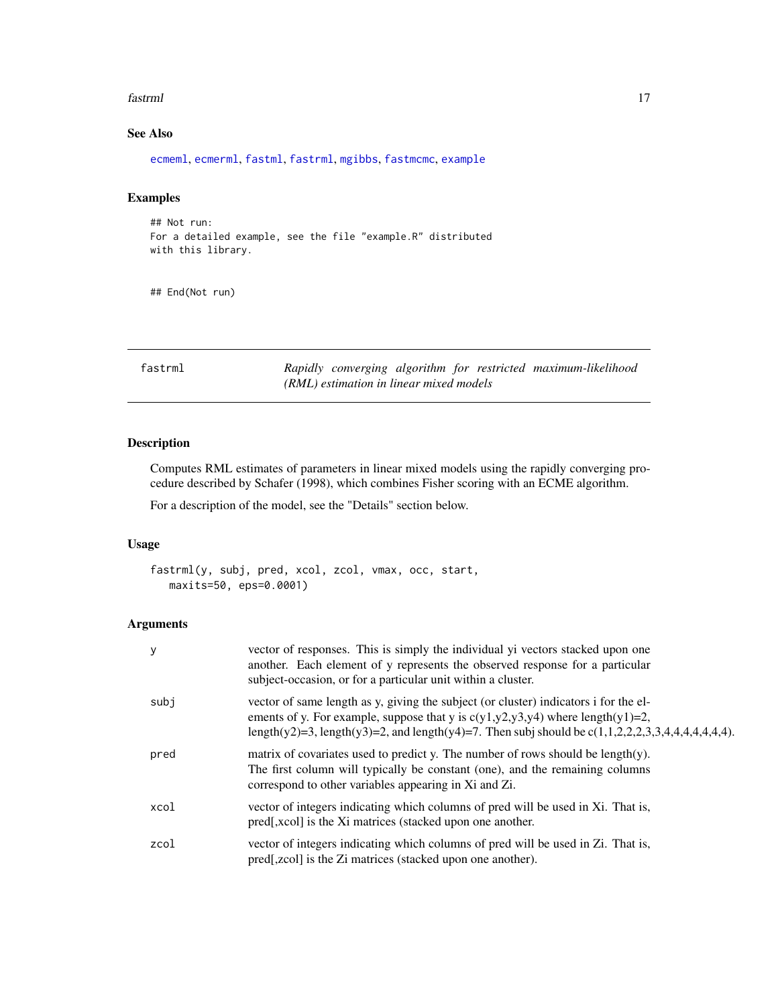#### <span id="page-16-0"></span>fastrml 17

# See Also

[ecmeml](#page-1-1), [ecmerml](#page-3-1), [fastml](#page-11-1), [fastrml](#page-16-1), [mgibbs](#page-19-1), [fastmcmc](#page-7-1), [example](#page-6-1)

#### Examples

```
## Not run:
For a detailed example, see the file "example.R" distributed
with this library.
```
## End(Not run)

<span id="page-16-1"></span>fastrml *Rapidly converging algorithm for restricted maximum-likelihood (RML) estimation in linear mixed models*

#### Description

Computes RML estimates of parameters in linear mixed models using the rapidly converging procedure described by Schafer (1998), which combines Fisher scoring with an ECME algorithm.

For a description of the model, see the "Details" section below.

## Usage

```
fastrml(y, subj, pred, xcol, zcol, vmax, occ, start,
  maxits=50, eps=0.0001)
```

| у    | vector of responses. This is simply the individual yi vectors stacked upon one<br>another. Each element of y represents the observed response for a particular<br>subject-occasion, or for a particular unit within a cluster.                                                     |
|------|------------------------------------------------------------------------------------------------------------------------------------------------------------------------------------------------------------------------------------------------------------------------------------|
| subi | vector of same length as y, giving the subject (or cluster) indicators i for the el-<br>ements of y. For example, suppose that y is $c(y1,y2,y3,y4)$ where length $(y1)=2$ ,<br>length(y2)=3, length(y3)=2, and length(y4)=7. Then subj should be $c(1,1,2,2,2,3,3,4,4,4,4,4,4)$ . |
| pred | matrix of covariates used to predict y. The number of rows should be length(y).<br>The first column will typically be constant (one), and the remaining columns<br>correspond to other variables appearing in Xi and Zi.                                                           |
| xcol | vector of integers indicating which columns of pred will be used in Xi. That is,<br>pred[,xcol] is the Xi matrices (stacked upon one another.                                                                                                                                      |
| zcol | vector of integers indicating which columns of pred will be used in Zi. That is,<br>pred[,zcol] is the Zi matrices (stacked upon one another).                                                                                                                                     |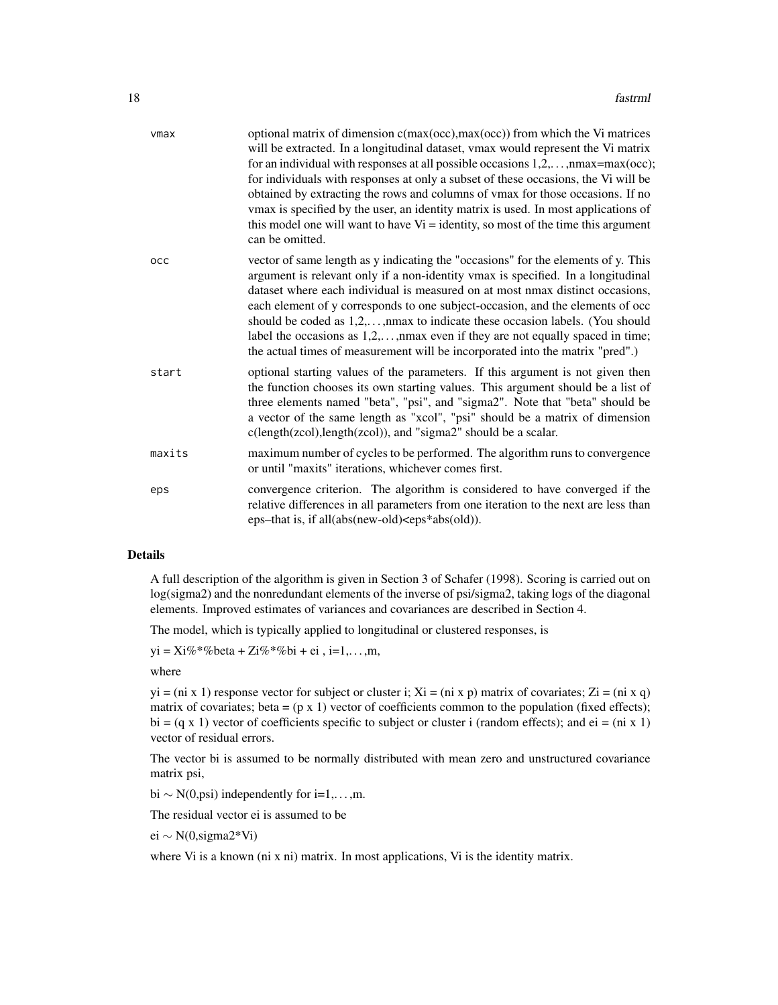| vmax   | optional matrix of dimension c(max(occ), max(occ)) from which the Vi matrices<br>will be extracted. In a longitudinal dataset, vmax would represent the Vi matrix<br>for an individual with responses at all possible occasions $1, 2, \ldots, n$ max=max(occ);<br>for individuals with responses at only a subset of these occasions, the Vi will be<br>obtained by extracting the rows and columns of vmax for those occasions. If no<br>vmax is specified by the user, an identity matrix is used. In most applications of<br>this model one will want to have $Vi =$ identity, so most of the time this argument<br>can be omitted. |
|--------|-----------------------------------------------------------------------------------------------------------------------------------------------------------------------------------------------------------------------------------------------------------------------------------------------------------------------------------------------------------------------------------------------------------------------------------------------------------------------------------------------------------------------------------------------------------------------------------------------------------------------------------------|
| occ    | vector of same length as y indicating the "occasions" for the elements of y. This<br>argument is relevant only if a non-identity vmax is specified. In a longitudinal<br>dataset where each individual is measured on at most nmax distinct occasions,<br>each element of y corresponds to one subject-occasion, and the elements of occ<br>should be coded as 1,2,, max to indicate these occasion labels. (You should<br>label the occasions as $1,2,,$ max even if they are not equally spaced in time;<br>the actual times of measurement will be incorporated into the matrix "pred".)                                             |
| start  | optional starting values of the parameters. If this argument is not given then<br>the function chooses its own starting values. This argument should be a list of<br>three elements named "beta", "psi", and "sigma2". Note that "beta" should be<br>a vector of the same length as "xcol", "psi" should be a matrix of dimension<br>c(length(zcol),length(zcol)), and "sigma2" should be a scalar.                                                                                                                                                                                                                                     |
| maxits | maximum number of cycles to be performed. The algorithm runs to convergence<br>or until "maxits" iterations, whichever comes first.                                                                                                                                                                                                                                                                                                                                                                                                                                                                                                     |
| eps    | convergence criterion. The algorithm is considered to have converged if the<br>relative differences in all parameters from one iteration to the next are less than<br>eps-that is, if all(abs(new-old) <eps*abs(old)).< td=""></eps*abs(old)).<>                                                                                                                                                                                                                                                                                                                                                                                        |

A full description of the algorithm is given in Section 3 of Schafer (1998). Scoring is carried out on log(sigma2) and the nonredundant elements of the inverse of psi/sigma2, taking logs of the diagonal elements. Improved estimates of variances and covariances are described in Section 4.

The model, which is typically applied to longitudinal or clustered responses, is

 $yi = Xi\% * \% beta + Zi\% * \% bi + ei, i=1,...,m,$ 

where

 $yi = (ni \times 1)$  response vector for subject or cluster i;  $Xi = (ni \times p)$  matrix of covariates;  $Zi = (ni \times q)$ matrix of covariates; beta =  $(p \times 1)$  vector of coefficients common to the population (fixed effects); bi =  $(q \times 1)$  vector of coefficients specific to subject or cluster i (random effects); and ei = (ni x 1) vector of residual errors.

The vector bi is assumed to be normally distributed with mean zero and unstructured covariance matrix psi,

bi  $\sim N(0, \text{psi})$  independently for i=1,...,m.

The residual vector ei is assumed to be

ei ∼ N(0,sigma2\*Vi)

where Vi is a known (ni x ni) matrix. In most applications, Vi is the identity matrix.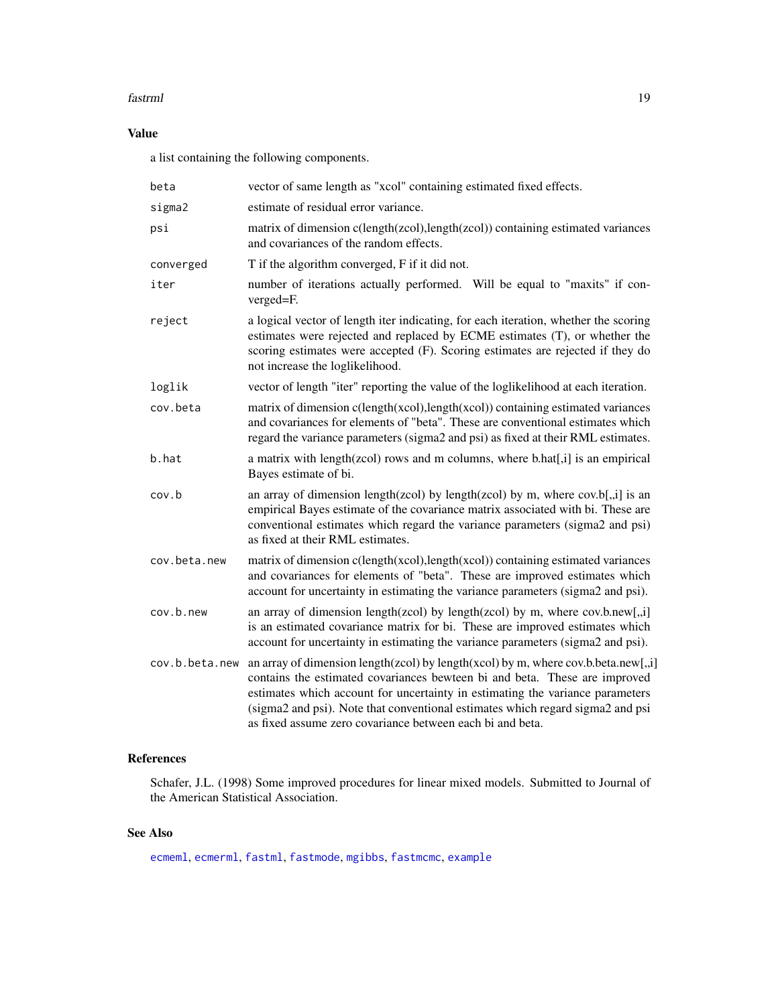#### <span id="page-18-0"></span>fastrml 19

# Value

a list containing the following components.

| beta           | vector of same length as "xcol" containing estimated fixed effects.                                                                                                                                                                                                                                                                                                                              |
|----------------|--------------------------------------------------------------------------------------------------------------------------------------------------------------------------------------------------------------------------------------------------------------------------------------------------------------------------------------------------------------------------------------------------|
| sigma2         | estimate of residual error variance.                                                                                                                                                                                                                                                                                                                                                             |
| psi            | matrix of dimension c(length(zcol), length(zcol)) containing estimated variances<br>and covariances of the random effects.                                                                                                                                                                                                                                                                       |
| converged      | T if the algorithm converged, F if it did not.                                                                                                                                                                                                                                                                                                                                                   |
| iter           | number of iterations actually performed. Will be equal to "maxits" if con-<br>verged=F.                                                                                                                                                                                                                                                                                                          |
| reject         | a logical vector of length iter indicating, for each iteration, whether the scoring<br>estimates were rejected and replaced by ECME estimates (T), or whether the<br>scoring estimates were accepted (F). Scoring estimates are rejected if they do<br>not increase the loglikelihood.                                                                                                           |
| loglik         | vector of length "iter" reporting the value of the loglikelihood at each iteration.                                                                                                                                                                                                                                                                                                              |
| cov.beta       | matrix of dimension c(length(xcol),length(xcol)) containing estimated variances<br>and covariances for elements of "beta". These are conventional estimates which<br>regard the variance parameters (sigma2 and psi) as fixed at their RML estimates.                                                                                                                                            |
| b.hat          | a matrix with length(zcol) rows and m columns, where b.hat[,i] is an empirical<br>Bayes estimate of bi.                                                                                                                                                                                                                                                                                          |
| cov.b          | an array of dimension length(zcol) by length(zcol) by m, where $cov.b[, i]$ is an<br>empirical Bayes estimate of the covariance matrix associated with bi. These are<br>conventional estimates which regard the variance parameters (sigma2 and psi)<br>as fixed at their RML estimates.                                                                                                         |
| cov.beta.new   | matrix of dimension c(length(xcol),length(xcol)) containing estimated variances<br>and covariances for elements of "beta". These are improved estimates which<br>account for uncertainty in estimating the variance parameters (sigma2 and psi).                                                                                                                                                 |
| cov.b.new      | an array of dimension length(zcol) by length(zcol) by m, where $cov.b.new[, i]$<br>is an estimated covariance matrix for bi. These are improved estimates which<br>account for uncertainty in estimating the variance parameters (sigma2 and psi).                                                                                                                                               |
| cov.b.beta.new | an array of dimension length(zcol) by length(xcol) by m, where cov.b.beta.new[,,i]<br>contains the estimated covariances bewteen bi and beta. These are improved<br>estimates which account for uncertainty in estimating the variance parameters<br>(sigma2 and psi). Note that conventional estimates which regard sigma2 and psi<br>as fixed assume zero covariance between each bi and beta. |

# References

Schafer, J.L. (1998) Some improved procedures for linear mixed models. Submitted to Journal of the American Statistical Association.

# See Also

[ecmeml](#page-1-1), [ecmerml](#page-3-1), [fastml](#page-11-1), [fastmode](#page-13-1), [mgibbs](#page-19-1), [fastmcmc](#page-7-1), [example](#page-6-1)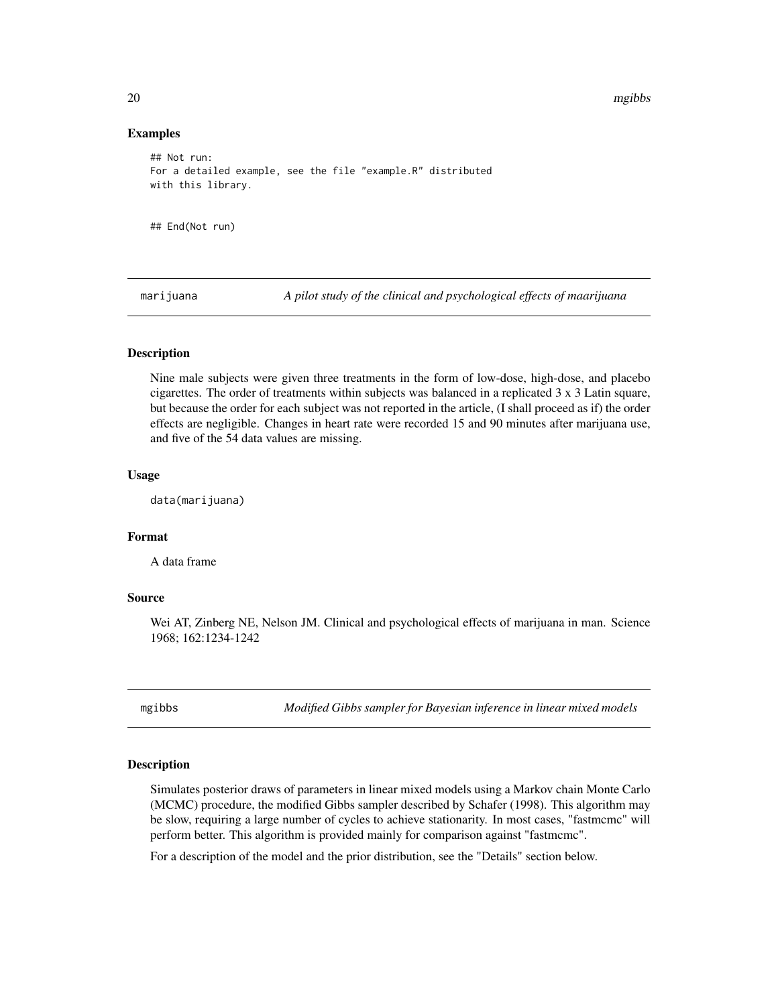20 mgibbs

#### Examples

```
## Not run:
For a detailed example, see the file "example.R" distributed
with this library.
## End(Not run)
```
<span id="page-19-2"></span>marijuana *A pilot study of the clinical and psychological effects of maarijuana*

#### Description

Nine male subjects were given three treatments in the form of low-dose, high-dose, and placebo cigarettes. The order of treatments within subjects was balanced in a replicated 3 x 3 Latin square, but because the order for each subject was not reported in the article, (I shall proceed as if) the order effects are negligible. Changes in heart rate were recorded 15 and 90 minutes after marijuana use, and five of the 54 data values are missing.

#### Usage

data(marijuana)

# Format

A data frame

#### Source

Wei AT, Zinberg NE, Nelson JM. Clinical and psychological effects of marijuana in man. Science 1968; 162:1234-1242

<span id="page-19-1"></span>mgibbs *Modified Gibbs sampler for Bayesian inference in linear mixed models*

#### Description

Simulates posterior draws of parameters in linear mixed models using a Markov chain Monte Carlo (MCMC) procedure, the modified Gibbs sampler described by Schafer (1998). This algorithm may be slow, requiring a large number of cycles to achieve stationarity. In most cases, "fastmcmc" will perform better. This algorithm is provided mainly for comparison against "fastmcmc".

For a description of the model and the prior distribution, see the "Details" section below.

<span id="page-19-0"></span>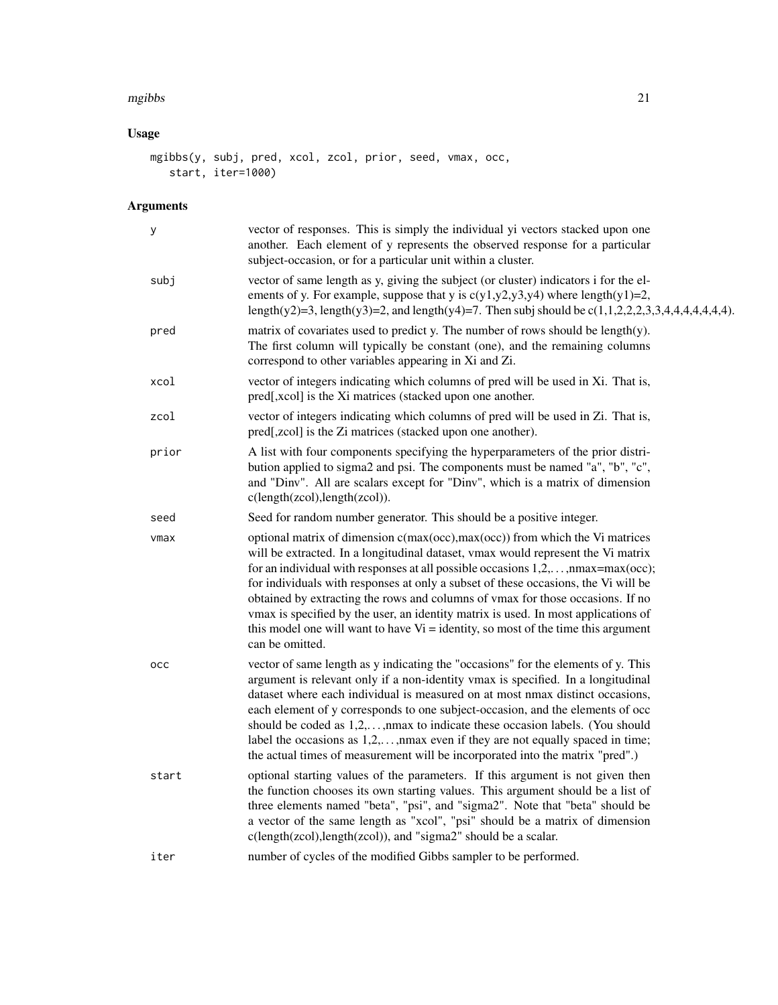#### mgibbs 21

# Usage

```
mgibbs(y, subj, pred, xcol, zcol, prior, seed, vmax, occ,
   start, iter=1000)
```

| у     | vector of responses. This is simply the individual yi vectors stacked upon one<br>another. Each element of y represents the observed response for a particular<br>subject-occasion, or for a particular unit within a cluster.                                                                                                                                                                                                                                                                                                                                                                                                         |
|-------|----------------------------------------------------------------------------------------------------------------------------------------------------------------------------------------------------------------------------------------------------------------------------------------------------------------------------------------------------------------------------------------------------------------------------------------------------------------------------------------------------------------------------------------------------------------------------------------------------------------------------------------|
| subj  | vector of same length as y, giving the subject (or cluster) indicators i for the el-<br>ements of y. For example, suppose that y is $c(y1,y2,y3,y4)$ where length $(y1)=2$ ,<br>length(y2)=3, length(y3)=2, and length(y4)=7. Then subj should be $c(1,1,2,2,2,3,3,4,4,4,4,4,4,4)$ .                                                                                                                                                                                                                                                                                                                                                   |
| pred  | matrix of covariates used to predict y. The number of rows should be length(y).<br>The first column will typically be constant (one), and the remaining columns<br>correspond to other variables appearing in Xi and Zi.                                                                                                                                                                                                                                                                                                                                                                                                               |
| xcol  | vector of integers indicating which columns of pred will be used in Xi. That is,<br>pred[,xcol] is the Xi matrices (stacked upon one another.                                                                                                                                                                                                                                                                                                                                                                                                                                                                                          |
| zcol  | vector of integers indicating which columns of pred will be used in Zi. That is,<br>pred[,zcol] is the Zi matrices (stacked upon one another).                                                                                                                                                                                                                                                                                                                                                                                                                                                                                         |
| prior | A list with four components specifying the hyperparameters of the prior distri-<br>bution applied to sigma2 and psi. The components must be named "a", "b", "c",<br>and "Dinv". All are scalars except for "Dinv", which is a matrix of dimension<br>c(length(zcol), length(zcol)).                                                                                                                                                                                                                                                                                                                                                    |
| seed  | Seed for random number generator. This should be a positive integer.                                                                                                                                                                                                                                                                                                                                                                                                                                                                                                                                                                   |
| vmax  | optional matrix of dimension c(max(occ),max(occ)) from which the Vi matrices<br>will be extracted. In a longitudinal dataset, vmax would represent the Vi matrix<br>for an individual with responses at all possible occasions $1, 2, \ldots$ , nmax=max(occ);<br>for individuals with responses at only a subset of these occasions, the Vi will be<br>obtained by extracting the rows and columns of vmax for those occasions. If no<br>vmax is specified by the user, an identity matrix is used. In most applications of<br>this model one will want to have $Vi =$ identity, so most of the time this argument<br>can be omitted. |
| occ   | vector of same length as y indicating the "occasions" for the elements of y. This<br>argument is relevant only if a non-identity vmax is specified. In a longitudinal<br>dataset where each individual is measured on at most nmax distinct occasions,<br>each element of y corresponds to one subject-occasion, and the elements of occ<br>should be coded as $1, 2, \ldots$ , nmax to indicate these occasion labels. (You should<br>label the occasions as $1,2,,$ max even if they are not equally spaced in time;<br>the actual times of measurement will be incorporated into the matrix "pred".)                                |
| start | optional starting values of the parameters. If this argument is not given then<br>the function chooses its own starting values. This argument should be a list of<br>three elements named "beta", "psi", and "sigma2". Note that "beta" should be<br>a vector of the same length as "xcol", "psi" should be a matrix of dimension<br>c(length(zcol),length(zcol)), and "sigma2" should be a scalar.                                                                                                                                                                                                                                    |
| iter  | number of cycles of the modified Gibbs sampler to be performed.                                                                                                                                                                                                                                                                                                                                                                                                                                                                                                                                                                        |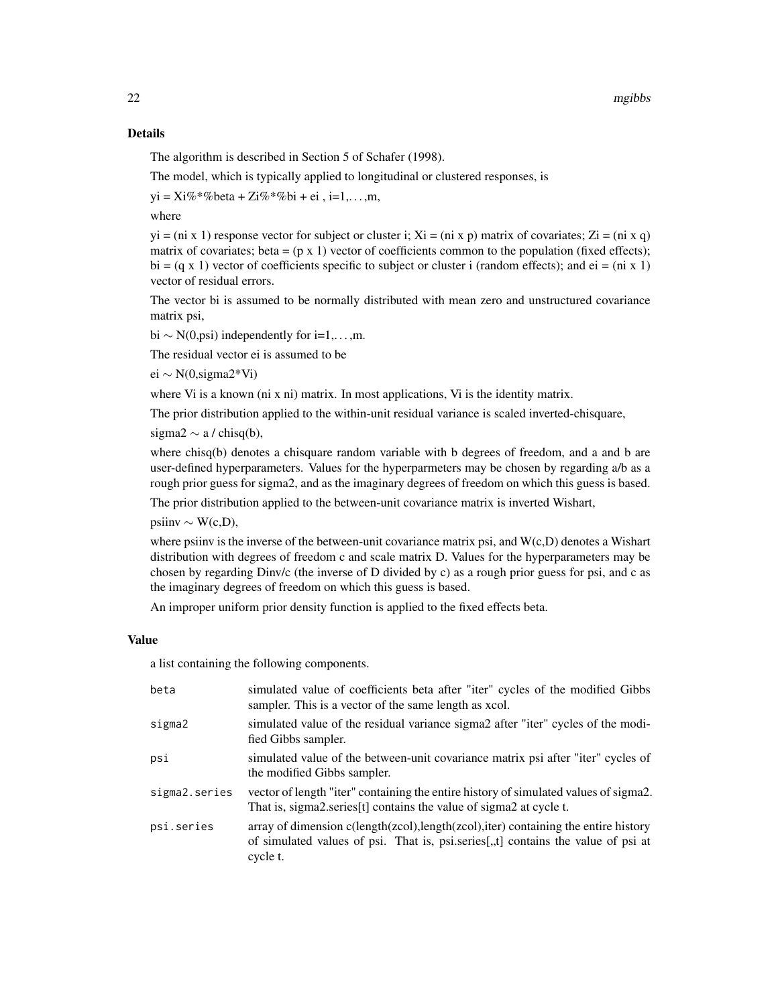The algorithm is described in Section 5 of Schafer (1998).

The model, which is typically applied to longitudinal or clustered responses, is

 $yi = Xi\% * \% beta + Zi\% * \% bi + ei, i=1,...,m,$ 

where

 $yi = (ni \times 1)$  response vector for subject or cluster i;  $Xi = (ni \times p)$  matrix of covariates;  $Zi = (ni \times q)$ matrix of covariates; beta =  $(p \times 1)$  vector of coefficients common to the population (fixed effects); bi =  $(q \times 1)$  vector of coefficients specific to subject or cluster i (random effects); and ei = (ni x 1) vector of residual errors.

The vector bi is assumed to be normally distributed with mean zero and unstructured covariance matrix psi,

bi  $\sim N(0, \text{psi})$  independently for i=1,...,m.

The residual vector ei is assumed to be

ei ∼ N(0,sigma2\*Vi)

where Vi is a known (ni x ni) matrix. In most applications, Vi is the identity matrix.

The prior distribution applied to the within-unit residual variance is scaled inverted-chisquare,

sigma2  $\sim$  a / chisq(b),

where chisq(b) denotes a chisquare random variable with b degrees of freedom, and a and b are user-defined hyperparameters. Values for the hyperparmeters may be chosen by regarding a/b as a rough prior guess for sigma2, and as the imaginary degrees of freedom on which this guess is based.

The prior distribution applied to the between-unit covariance matrix is inverted Wishart,

 $\text{psi} \sim \text{W}(c, D),$ 

where psiinv is the inverse of the between-unit covariance matrix psi, and  $W(c,D)$  denotes a Wishart distribution with degrees of freedom c and scale matrix D. Values for the hyperparameters may be chosen by regarding Dinv/c (the inverse of D divided by c) as a rough prior guess for psi, and c as the imaginary degrees of freedom on which this guess is based.

An improper uniform prior density function is applied to the fixed effects beta.

#### Value

a list containing the following components.

| beta          | simulated value of coefficients beta after "iter" cycles of the modified Gibbs<br>sampler. This is a vector of the same length as xcol.                                                                      |
|---------------|--------------------------------------------------------------------------------------------------------------------------------------------------------------------------------------------------------------|
| sigma2        | simulated value of the residual variance sigma2 after "iter" cycles of the modi-<br>fied Gibbs sampler.                                                                                                      |
| psi           | simulated value of the between-unit covariance matrix psi after "iter" cycles of<br>the modified Gibbs sampler.                                                                                              |
| sigma2.series | vector of length "iter" containing the entire history of simulated values of sigma2.<br>That is, sigma2.series[t] contains the value of sigma2 at cycle t.                                                   |
| psi.series    | array of dimension $c(\text{length}(zcol), \text{length}(zcol), \text{iter})$ containing the entire history<br>of simulated values of psi. That is, psi.series[,,t] contains the value of psi at<br>cycle t. |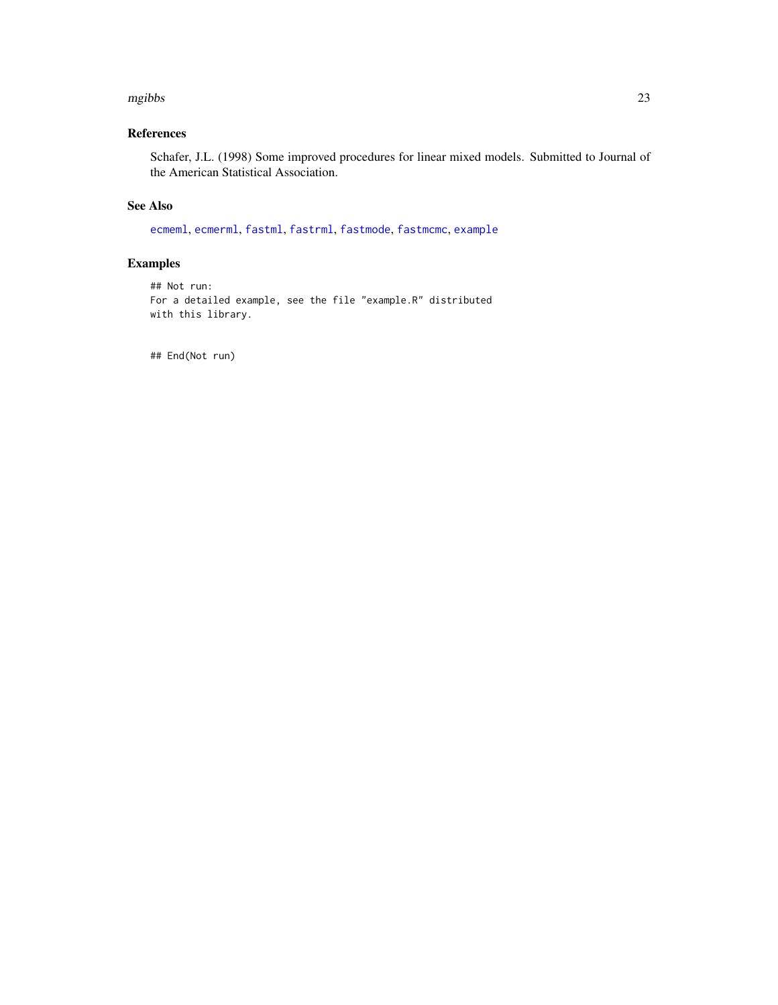#### <span id="page-22-0"></span>mgibbs 23

# References

Schafer, J.L. (1998) Some improved procedures for linear mixed models. Submitted to Journal of the American Statistical Association.

# See Also

[ecmeml](#page-1-1), [ecmerml](#page-3-1), [fastml](#page-11-1), [fastrml](#page-16-1), [fastmode](#page-13-1), [fastmcmc](#page-7-1), [example](#page-6-1)

## Examples

```
## Not run:
For a detailed example, see the file "example.R" distributed
with this library.
```
## End(Not run)